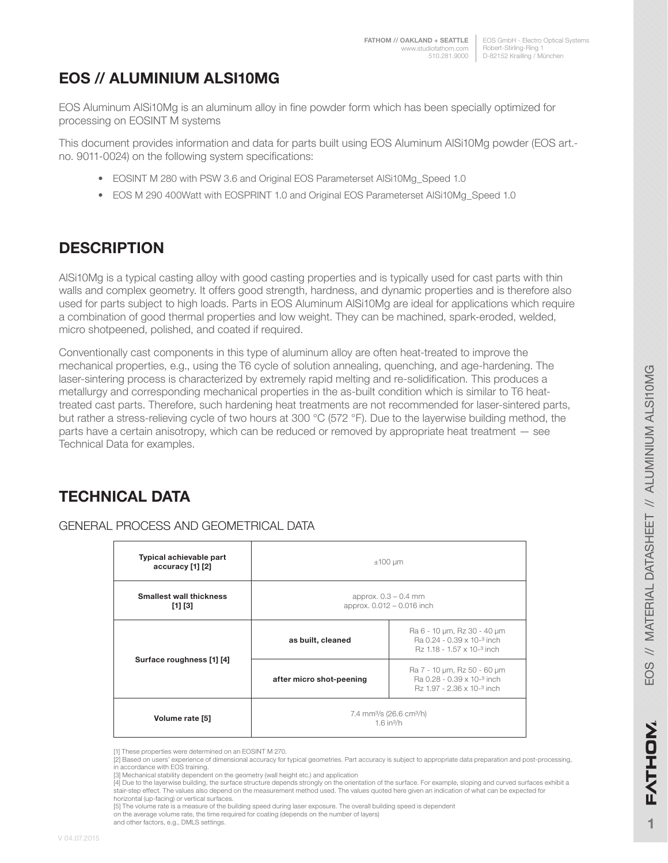EOS GmbH - Electro Optical Systems Robert-Stirling-Ring 1 D-82152 Krailling / München

# **EOS // ALUMINIUM ALSI10MG**

EOS Aluminum AlSi10Mg is an aluminum alloy in fine powder form which has been specially optimized for processing on EOSINT M systems

This document provides information and data for parts built using EOS Aluminum AlSi10Mg powder (EOS art. no. 9011-0024) on the following system specifications:

- EOSINT M 280 with PSW 3.6 and Original EOS Parameterset AlSi10Mg\_Speed 1.0
- EOS M 290 400Watt with EOSPRINT 1.0 and Original EOS Parameterset AlSi10Mg\_Speed 1.0

## **DESCRIPTION**

AlSi10Mg is a typical casting alloy with good casting properties and is typically used for cast parts with thin walls and complex geometry. It offers good strength, hardness, and dynamic properties and is therefore also used for parts subject to high loads. Parts in EOS Aluminum AlSi10Mg are ideal for applications which require a combination of good thermal properties and low weight. They can be machined, spark-eroded, welded, micro shotpeened, polished, and coated if required.

Conventionally cast components in this type of aluminum alloy are often heat-treated to improve the mechanical properties, e.g., using the T6 cycle of solution annealing, quenching, and age-hardening. The laser-sintering process is characterized by extremely rapid melting and re-solidification. This produces a metallurgy and corresponding mechanical properties in the as-built condition which is similar to T6 heattreated cast parts. Therefore, such hardening heat treatments are not recommended for laser-sintered parts, but rather a stress-relieving cycle of two hours at 300 °C (572 °F). Due to the layerwise building method, the parts have a certain anisotropy, which can be reduced or removed by appropriate heat treatment — see Technical Data for examples.

# **TECHNICAL DATA**

| Typical achievable part<br>accuracy [1] [2] | $±100 \mu m$                                                                 |                                                                                         |  |
|---------------------------------------------|------------------------------------------------------------------------------|-----------------------------------------------------------------------------------------|--|
| <b>Smallest wall thickness</b><br>[1] [3]   | approx. $0.3 - 0.4$ mm<br>approx. 0.012 - 0.016 inch                         |                                                                                         |  |
| Surface roughness [1] [4]                   | as built, cleaned                                                            | Ra 6 - 10 µm, Rz 30 - 40 µm<br>Ra 0.24 - 0.39 x 10-3 inch<br>Rz 1.18 - 1.57 x 10-3 inch |  |
|                                             | after micro shot-peening                                                     | Ra 7 - 10 µm, Rz 50 - 60 µm<br>Ra 0.28 - 0.39 x 10-3 inch<br>Rz 1.97 - 2.36 x 10-3 inch |  |
| Volume rate [5]                             | 7.4 mm <sup>3</sup> /s (26.6 cm <sup>3</sup> /h)<br>$1.6$ in <sup>3</sup> /h |                                                                                         |  |

### GENERAL PROCESS AND GEOMETRICAL DATA

**1**

<sup>[1]</sup> These properties were determined on an EOSINT M 270.

<sup>[2]</sup> Based on users' experience of dimensional accuracy for typical geometries. Part accuracy is subject to appropriate data preparation and post-processing, in accordance with EOS training.

<sup>[3]</sup> Mechanical stability dependent on the geometry (wall height etc.) and application

<sup>[4]</sup> Due to the layerwise building, the surface structure depends strongly on the orientation of the surface. For example, sloping and curved surfaces exhibit a stair-step effect. The values also depend on the measurement method used. The values quoted here given an indication of what can be expected for horizontal (up-facing) or vertical surfaces.

<sup>[5]</sup> The volume rate is a measure of the building speed during laser exposure. The overall building speed is dependent on the average volume rate, the time required for coating (depends on the number of layers)

and other factors, e.g., DMLS settings.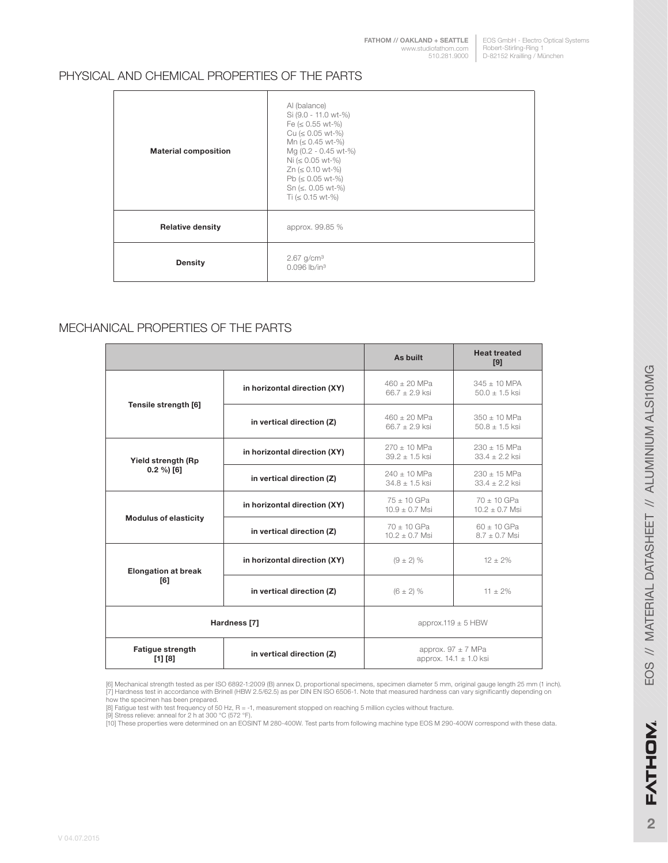**[FATHOM // OAKLAND + SEATTLE](http://studiofathom.com/)** www.studiofathom.com 510.281.9000

EOS GmbH - Electro Optical Systems Robert-Stirling-Ring 1 D-82152 Krailling / München

#### PHYSICAL AND CHEMICAL PROPERTIES OF THE PARTS

| <b>Material composition</b> | Al (balance)<br>Si (9.0 - 11.0 wt-%)<br>Fe $(\leq 0.55 \text{ wt-}%)$<br>$Cu (50.05 wt-%)$<br>Mn ( $\leq 0.45$ wt-%)<br>Mg (0.2 - 0.45 wt-%)<br>Ni ( $\leq 0.05$ wt-%)<br>Zn ( $\leq$ 0.10 wt-%)<br>Pb ( $\leq 0.05$ wt-%)<br>Sn ( $\leq$ . 0.05 wt-%)<br>Ti ( $\leq$ 0.15 wt-%) |
|-----------------------------|----------------------------------------------------------------------------------------------------------------------------------------------------------------------------------------------------------------------------------------------------------------------------------|
| <b>Relative density</b>     | approx. 99.85 %                                                                                                                                                                                                                                                                  |
| <b>Density</b>              | $2.67$ g/cm <sup>3</sup><br>$0.096$ lb/in <sup>3</sup>                                                                                                                                                                                                                           |

#### MECHANICAL PROPERTIES OF THE PARTS

|                                    |                              | As built                               | <b>Heat treated</b><br>[9]                           |
|------------------------------------|------------------------------|----------------------------------------|------------------------------------------------------|
|                                    | in horizontal direction (XY) | $460 \pm 20$ MPa<br>$66.7 \pm 2.9$ ksi | $345 \pm 10$ MPA<br>$50.0 \pm 1.5$ ksi               |
| Tensile strength [6]               | in vertical direction (Z)    | $460 \pm 20$ MPa<br>$66.7 \pm 2.9$ ksi | $350 \pm 10$ MPa<br>$50.8 \pm 1.5$ ksi               |
| Yield strength (Rp                 | in horizontal direction (XY) | $270 \pm 10$ MPa<br>$39.2 \pm 1.5$ ksi | $230 \pm 15$ MPa<br>$33.4 \pm 2.2$ ksi               |
| $0.2 \%$ [6]                       | in vertical direction (Z)    | $240 + 10$ MPa<br>$34.8 \pm 1.5$ ksi   | $230 \pm 15$ MPa<br>$33.4 + 2.2$ ksi                 |
| <b>Modulus of elasticity</b>       | in horizontal direction (XY) | $75 + 10$ GPa<br>$10.9 + 0.7$ Msi      | $70 + 10$ GPa<br>$10.2 + 0.7$ Msi                    |
|                                    | in vertical direction (Z)    | $70 + 10$ GPa<br>$10.2 \pm 0.7$ Msi    | $60 \pm 10$ GPa<br>$8.7 \pm 0.7$ Msi                 |
| <b>Elongation at break</b>         | in horizontal direction (XY) |                                        | $12 \pm 2\%$                                         |
| F61                                | in vertical direction (Z)    | $(6 \pm 2)$ %                          | $11 \pm 2\%$                                         |
| Hardness [7]                       |                              | approx.119 $\pm$ 5 HBW                 |                                                      |
| <b>Fatigue strength</b><br>[1] [8] | in vertical direction (Z)    |                                        | approx. $97 \pm 7$ MPa<br>approx. $14.1 \pm 1.0$ ksi |

(6) Mechanical strength tested as per ISO 6892-1:2009 (B) annex D, proportional specimens, specimen diameter 5 mm, original gauge length 25 mm (1 inch).<br>[7] Hardness test in accordance with Brinell (HBW 2.5/62.5) as per DI

[8] Fatigue test with test frequency of 50 Hz, R = -1, measurement stopped on reaching 5 million cycles without fracture. [9] Stress relieve: anneal for 2 h at 300 °C (572 °F).

[10] These properties were determined on an EOSINT M 280-400W. Test parts from following machine type EOS M 290-400W correspond with these data.

**2**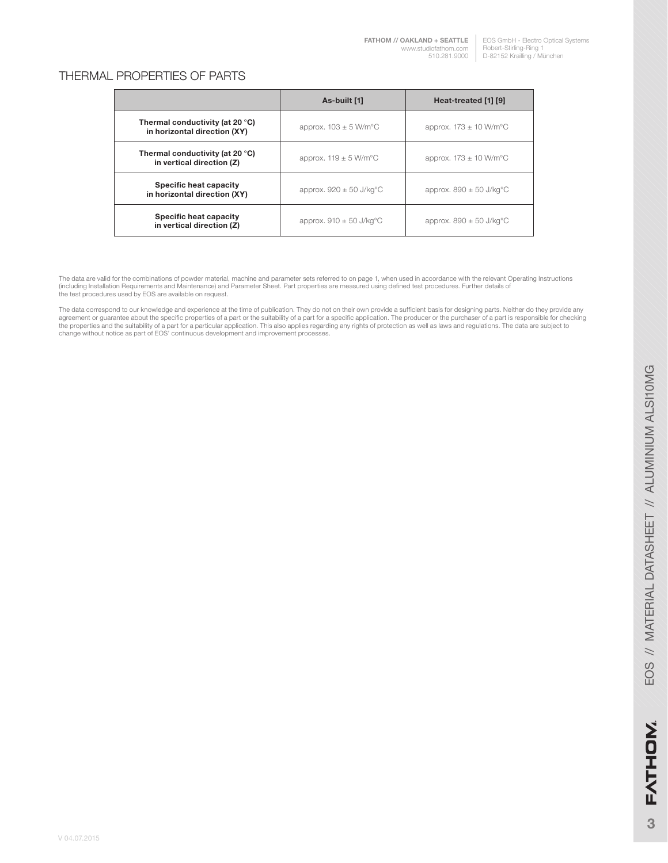#### THERMAL PROPERTIES OF PARTS

|                                                                 | As-built [1]                           | Heat-treated [1] [9]                    |
|-----------------------------------------------------------------|----------------------------------------|-----------------------------------------|
| Thermal conductivity (at 20 °C)<br>in horizontal direction (XY) | approx. $103 \pm 5$ W/m <sup>o</sup> C | approx. $173 \pm 10$ W/m <sup>o</sup> C |
| Thermal conductivity (at 20 °C)<br>in vertical direction (Z)    | approx. $119 \pm 5$ W/m <sup>o</sup> C | approx. $173 \pm 10$ W/m <sup>o</sup> C |
| Specific heat capacity<br>in horizontal direction (XY)          | approx. $920 \pm 50$ J/kg°C            | approx. $890 \pm 50$ J/kg°C             |
| Specific heat capacity<br>in vertical direction (Z)             | approx. $910 \pm 50$ J/kg°C            | approx. $890 \pm 50$ J/kg°C             |

The data are valid for the combinations of powder material, machine and parameter sets referred to on page 1, when used in accordance with the relevant Operating Instructions<br>(including Installation Requirements and Mainte the test procedures used by EOS are available on request.

The data correspond to our knowledge and experience at the time of publication. They do not on their own provide a sufficient basis for designing parts. Neither do they provide any agreement or guarantee about the specific properties of a part or the suitability of a part for a specific application. The producer or the purchaser of a part is responsible for checking<br>the properties and the suitability change without notice as part of EOS' continuous development and improvement processes.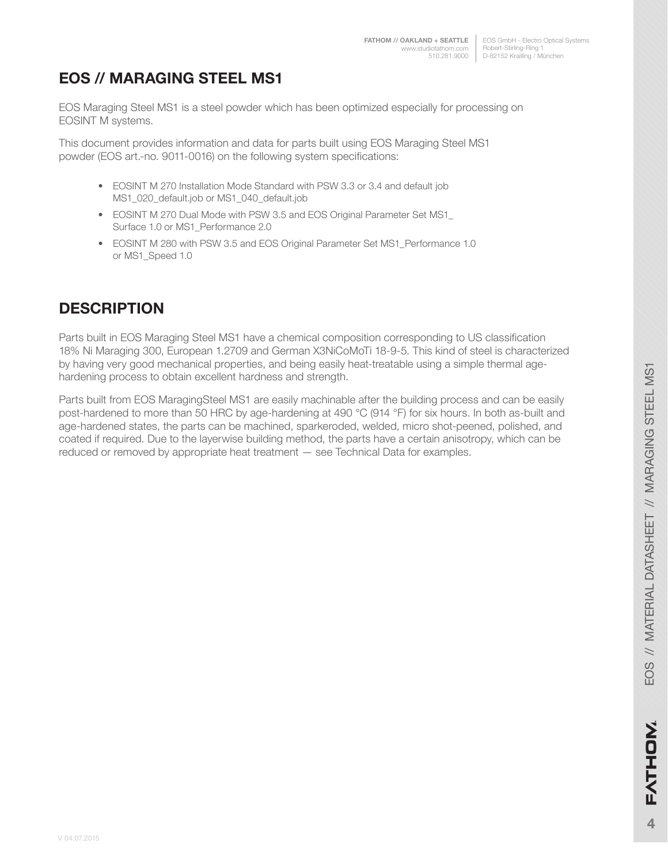EOS GmbH - Electro Optical Systems Robert-Stirling-Ring 1 510.281.9000 | D-82152 Krailling / München

# **EOS // MARAGING STEEL MS1**

EOS Maraging Steel MS1 is a steel powder which has been optimized especially for processing on EOSINT M systems.

This document provides information and data for parts built using EOS Maraging Steel MS1 powder (EOS art.-no. 9011-0016) on the following system specifications:

- EOSINT M 270 Installation Mode Standard with PSW 3.3 or 3.4 and default job MS1\_020\_default.job or MS1\_040\_default.job
- EOSINT M 270 Dual Mode with PSW 3.5 and EOS Original Parameter Set MS1 Surface 1.0 or MS1\_Performance 2.0
- EOSINT M 280 with PSW 3.5 and EOS Original Parameter Set MS1 Performance 1.0 or MS1\_Speed 1.0

### **DESCRIPTION**

Parts built in EOS Maraging Steel MS1 have a chemical composition corresponding to US classification 18% Ni Maraging 300, European 1.2709 and German X3NiCoMoTi 18-9-5. This kind of steel is characterized by having very good mechanical properties, and being easily heat-treatable using a simple thermal agehardening process to obtain excellent hardness and strength.

Parts built from EOS MaragingSteel MS1 are easily machinable after the building process and can be easily post-hardened to more than 50 HRC by age-hardening at 490 °C (914 °F) for six hours. In both as-built and age-hardened states, the parts can be machined, sparkeroded, welded, micro shot-peened, polished, and coated if required. Due to the layerwise building method, the parts have a certain anisotropy, which can be reduced or removed by appropriate heat treatment — see Technical Data for examples.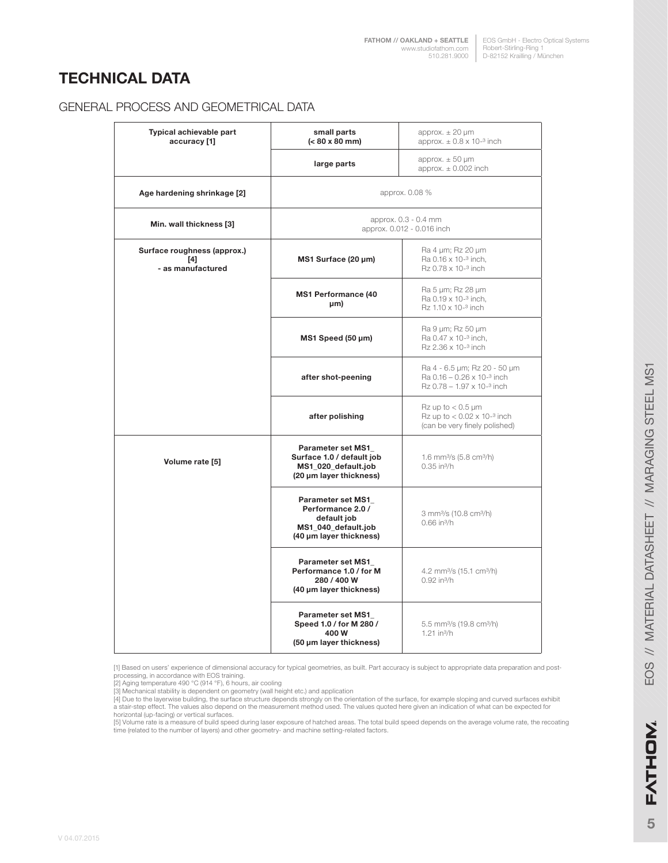### **TECHNICAL DATA**

#### GENERAL PROCESS AND GEOMETRICAL DATA

| Typical achievable part<br>accuracy [1]                 | small parts<br>approx. $\pm 20 \mu m$<br>(< 80 x 80 mm)<br>approx. $\pm$ 0.8 x 10- <sup>3</sup> inch             |                                                                             |  |
|---------------------------------------------------------|------------------------------------------------------------------------------------------------------------------|-----------------------------------------------------------------------------|--|
|                                                         | large parts                                                                                                      | approx. $\pm$ 50 $\mu$ m<br>approx. $\pm$ 0.002 inch                        |  |
| Age hardening shrinkage [2]                             |                                                                                                                  | approx. 0.08 %                                                              |  |
| Min. wall thickness [3]                                 | approx. 0.3 - 0.4 mm<br>approx. 0.012 - 0.016 inch                                                               |                                                                             |  |
| Surface roughness (approx.)<br>[4]<br>- as manufactured | Ra 4 µm; Rz 20 µm<br>Ra 0.16 x 10- <sup>3</sup> inch,<br>MS1 Surface (20 µm)<br>Rz 0.78 x 10-3 inch              |                                                                             |  |
|                                                         | <b>MS1 Performance (40</b><br>µm)                                                                                | Ra 5 µm; Rz 28 µm<br>Ra 0.19 x 10-3 inch,<br>Rz 1.10 x 10-3 inch            |  |
|                                                         | Ra 9 µm; Rz 50 µm<br>MS1 Speed (50 µm)<br>Ra 0.47 x 10-3 inch,<br>Rz 2.36 x 10- <sup>3</sup> inch                |                                                                             |  |
|                                                         | Ra 4 - 6.5 µm; Rz 20 - 50 µm<br>after shot-peening<br>Ra 0.16 - 0.26 x 10-3 inch<br>Rz 0.78 - 1.97 x 10-3 inch   |                                                                             |  |
|                                                         | Rz up to $< 0.5$ µm<br>Rz up to $< 0.02 \times 10^{-3}$ inch<br>after polishing<br>(can be very finely polished) |                                                                             |  |
| Volume rate [5]                                         | Parameter set MS1<br>Surface 1.0 / default job<br>MS1_020_default.job<br>(20 µm layer thickness)                 | 1.6 mm <sup>3</sup> /s $(5.8 \text{ cm}^3/h)$<br>$0.35$ in $\frac{3}{h}$    |  |
|                                                         | Parameter set MS1<br>Performance 2.0 /<br>default job<br>MS1_040_default.job<br>(40 µm layer thickness)          | 3 mm <sup>3</sup> /s (10.8 cm <sup>3</sup> /h)<br>$0.66$ in $\frac{3}{h}$   |  |
|                                                         | <b>Parameter set MS1</b><br>Performance 1.0 / for M<br>280 / 400 W<br>(40 µm layer thickness)                    | 4.2 mm <sup>3</sup> /s (15.1 cm <sup>3</sup> /h)<br>0.92 in <sup>3</sup> /h |  |
|                                                         | Parameter set MS1<br>Speed 1.0 / for M 280 /<br>400W<br>(50 µm layer thickness)                                  | 5.5 mm <sup>3</sup> /s (19.8 cm <sup>3</sup> /h)<br>$1.21$ in $\frac{3}{h}$ |  |

[1] Based on users' experience of dimensional accuracy for typical geometries, as built. Part accuracy is subject to appropriate data preparation and post-

[3] Mechanical stability is dependent on geometry (wall height etc.) and application<br>[4] Due to the layerwise building, the surface structure depends strongly on the orientation of the surface, for example sloping and curv a stair-step effect. The values also depend on the measurement method used. The values quoted here given an indication of what can be expected for

horizontal (up-facing) or vertical surfaces.<br>[5] Volume rate is a measure of build speed during laser exposure of hatched areas. The total build speed depends on the average volume rate, the recoating time (related to the number of layers) and other geometry- and machine setting-related factors.

processing, in accordance with EOS training. [2] Aging temperature 490 °C (914 °F), 6 hours, air cooling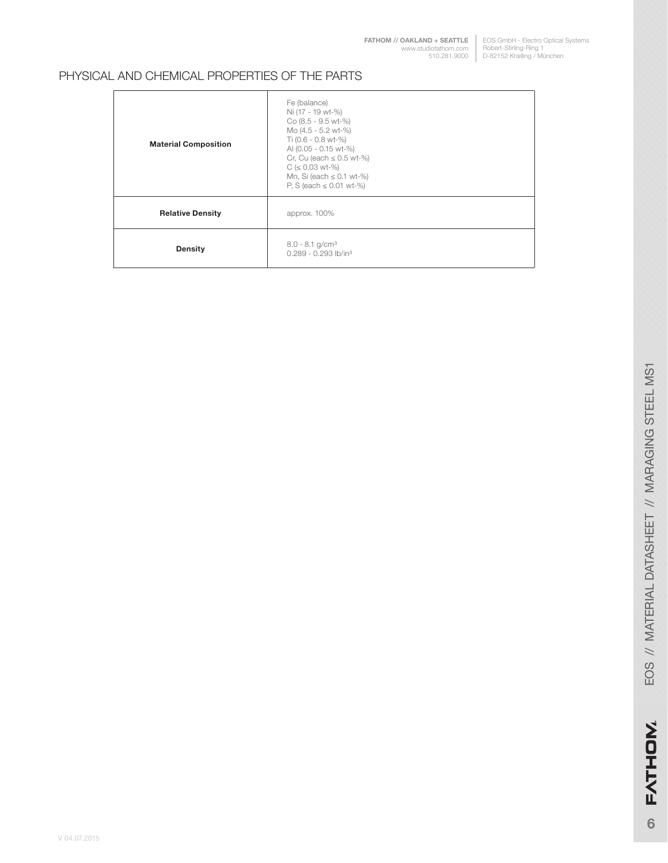**[FATHOM // OAKLAND + SEATTLE](http://studiofathom.com/)** www.studiofathom.com 510.281.9000

EOS GmbH - Electro Optical Systems Robert-Stirling-Ring 1 D-82152 Krailling / München

#### PHYSICAL AND CHEMICAL PROPERTIES OF THE PARTS

| <b>Material Composition</b> | Fe (balance)<br>Ni (17 - 19 wt-%)<br>Co (8.5 - 9.5 wt-%)<br>Mo (4.5 - 5.2 wt-%)<br>Ti (0.6 - 0.8 wt-%)<br>AI (0.05 - 0.15 wt-%)<br>Cr, Cu (each $\leq$ 0.5 wt-%)<br>$C$ ( $\leq$ 0.03 wt-%)<br>Mn, Si (each $\leq$ 0.1 wt-%)<br>P, S (each $\leq$ 0.01 wt-%) |
|-----------------------------|--------------------------------------------------------------------------------------------------------------------------------------------------------------------------------------------------------------------------------------------------------------|
| <b>Relative Density</b>     | approx. 100%                                                                                                                                                                                                                                                 |
| <b>Density</b>              | $8.0 - 8.1$ g/cm <sup>3</sup><br>$0.289 - 0.293$ lb/in <sup>3</sup>                                                                                                                                                                                          |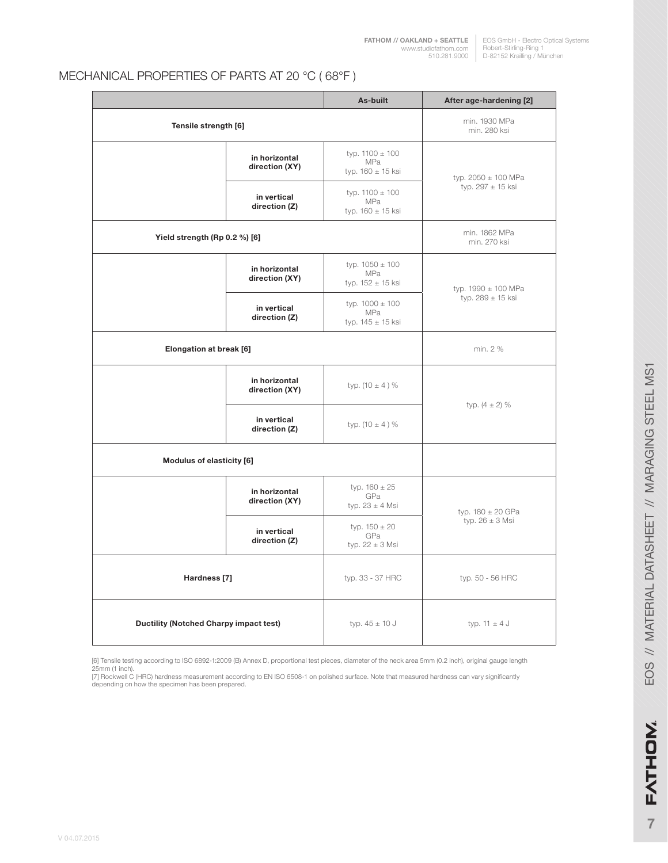#### MECHANICAL PROPERTIES OF PARTS AT 20 °C ( 68°F )

|                                               |                                 | As-built                                            | After age-hardening [2]       |  |
|-----------------------------------------------|---------------------------------|-----------------------------------------------------|-------------------------------|--|
| Tensile strength [6]                          |                                 |                                                     | min. 1930 MPa<br>min. 280 ksi |  |
|                                               | in horizontal<br>direction (XY) | typ. $1100 \pm 100$<br>MPa<br>typ. 160 ± 15 ksi     | typ. $2050 \pm 100$ MPa       |  |
|                                               | in vertical<br>direction (Z)    | typ. $1100 \pm 100$<br>MPa<br>typ. $160 \pm 15$ ksi | typ. $297 \pm 15$ ksi         |  |
| Yield strength (Rp 0.2 %) [6]                 |                                 |                                                     | min. 1862 MPa<br>min. 270 ksi |  |
|                                               | in horizontal<br>direction (XY) | typ. $1050 \pm 100$<br>MPa<br>typ. 152 ± 15 ksi     | typ. $1990 \pm 100$ MPa       |  |
| in vertical<br>direction (Z)                  |                                 | typ. $1000 \pm 100$<br>MPa<br>typ. $145 \pm 15$ ksi | typ. $289 \pm 15$ ksi         |  |
| Elongation at break [6]                       |                                 |                                                     | min. 2 %                      |  |
|                                               | in horizontal<br>direction (XY) | typ. $(10 \pm 4)$ %                                 | typ. $(4 \pm 2)$ %            |  |
| in vertical<br>direction (Z)                  |                                 | typ. $(10 \pm 4)$ %                                 |                               |  |
|                                               | Modulus of elasticity [6]       |                                                     |                               |  |
|                                               | in horizontal<br>direction (XY) | typ. $160 \pm 25$<br>GPa<br>typ. $23 \pm 4$ Msi     | typ. $180 \pm 20$ GPa         |  |
|                                               | in vertical<br>direction (Z)    | typ. $150 \pm 20$<br>GPa<br>typ. $22 \pm 3$ Msi     | typ. $26 \pm 3$ Msi           |  |
| Hardness [7]                                  |                                 | typ. 33 - 37 HRC                                    | typ. 50 - 56 HRC              |  |
| <b>Ductility (Notched Charpy impact test)</b> |                                 | typ. $45 \pm 10$ J                                  | typ. $11 \pm 4$ J             |  |

[6] Tensile testing according to ISO 6892-1:2009 (B) Annex D, proportional test pieces, diameter of the neck area 5mm (0.2 inch), original gauge length<br>25mm (1 inch).<br>[7] Rockwell C (HRC) hardness measurement according to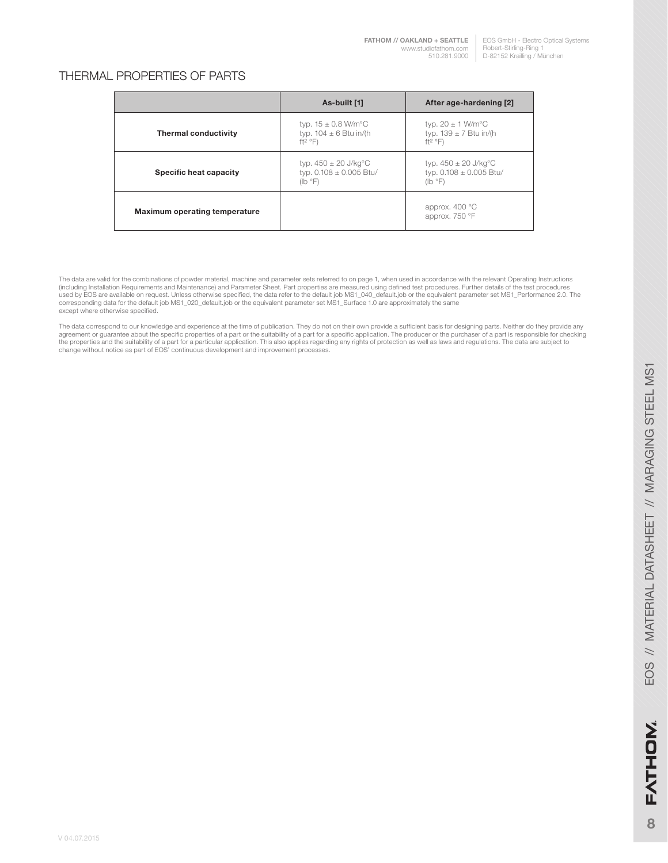**[FATHOM // OAKLAND + SEATTLE](http://studiofathom.com/)** www.studiofathom.com 510.281.9000

#### THERMAL PROPERTIES OF PARTS

|                               | As-built [1]                                                                             | After age-hardening [2]                                                                  |
|-------------------------------|------------------------------------------------------------------------------------------|------------------------------------------------------------------------------------------|
| <b>Thermal conductivity</b>   | typ. $15 \pm 0.8$ W/m <sup>o</sup> C<br>typ. $104 \pm 6$ Btu in/(h)<br>$ft^2$ °F)        | typ. $20 \pm 1$ W/m <sup>o</sup> C<br>typ. $139 \pm 7$ Btu in/(h<br>$ft^2$ °F)           |
| Specific heat capacity        | typ. $450 \pm 20 \text{ J/kg}^{\circ}\text{C}$<br>typ. $0.108 \pm 0.005$ Btu/<br>(lb °F) | typ. $450 \pm 20 \text{ J/kg}^{\circ}\text{C}$<br>typ. $0.108 \pm 0.005$ Btu/<br>(lb °F) |
| Maximum operating temperature |                                                                                          | approx. 400 °C<br>approx. 750 °F                                                         |

The data are valid for the combinations of powder material, machine and parameter sets referred to on page 1, when used in accordance with the relevant Operating Instructions (including Installation Requirements and Maintenance) and Parameter Sheet. Part properties are measured using defined test procedures. Further details of the test procedures<br>used by EOS are available on request. Unless oth except where otherwise specified.

The data correspond to our knowledge and experience at the time of publication. They do not on their own provide a sufficient basis for designing parts. Neither do they provide any<br>agreement or guarantee about the specific change without notice as part of EOS' continuous development and improvement processes.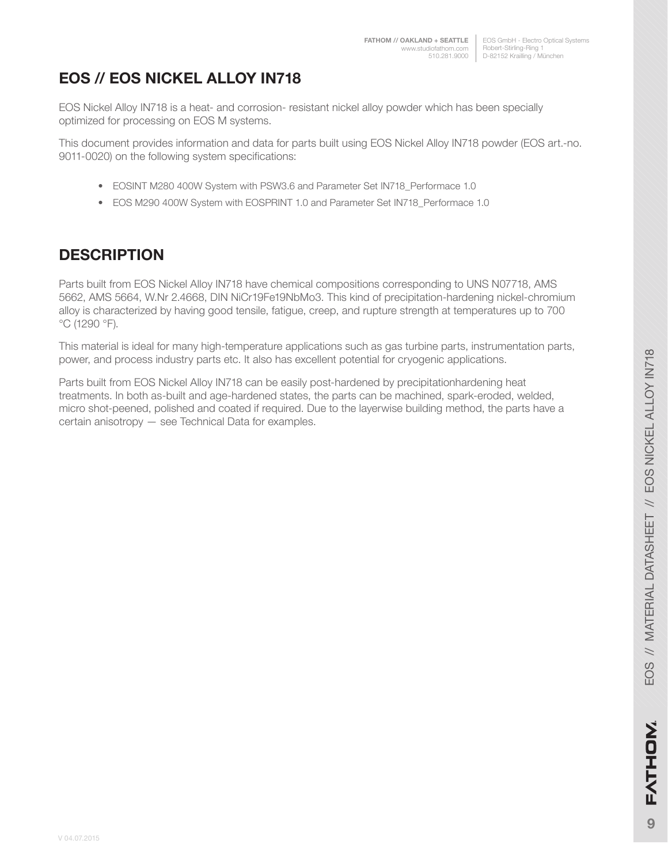EOS GmbH - Electro Optical Systems Robert-Stirling-Ring 1 510.281.9000 | D-82152 Krailling / München

# **EOS // EOS NICKEL ALLOY IN718**

EOS Nickel Alloy IN718 is a heat- and corrosion- resistant nickel alloy powder which has been specially optimized for processing on EOS M systems.

This document provides information and data for parts built using EOS Nickel Alloy IN718 powder (EOS art.-no. 9011-0020) on the following system specifications:

- EOSINT M280 400W System with PSW3.6 and Parameter Set IN718\_Performace 1.0
- EOS M290 400W System with EOSPRINT 1.0 and Parameter Set IN718\_Performace 1.0

### **DESCRIPTION**

Parts built from EOS Nickel Alloy IN718 have chemical compositions corresponding to UNS N07718, AMS 5662, AMS 5664, W.Nr 2.4668, DIN NiCr19Fe19NbMo3. This kind of precipitation-hardening nickel-chromium alloy is characterized by having good tensile, fatigue, creep, and rupture strength at temperatures up to 700 °C (1290 °F).

This material is ideal for many high-temperature applications such as gas turbine parts, instrumentation parts, power, and process industry parts etc. It also has excellent potential for cryogenic applications.

Parts built from EOS Nickel Alloy IN718 can be easily post-hardened by precipitationhardening heat treatments. In both as-built and age-hardened states, the parts can be machined, spark-eroded, welded, micro shot-peened, polished and coated if required. Due to the layerwise building method, the parts have a certain anisotropy — see Technical Data for examples.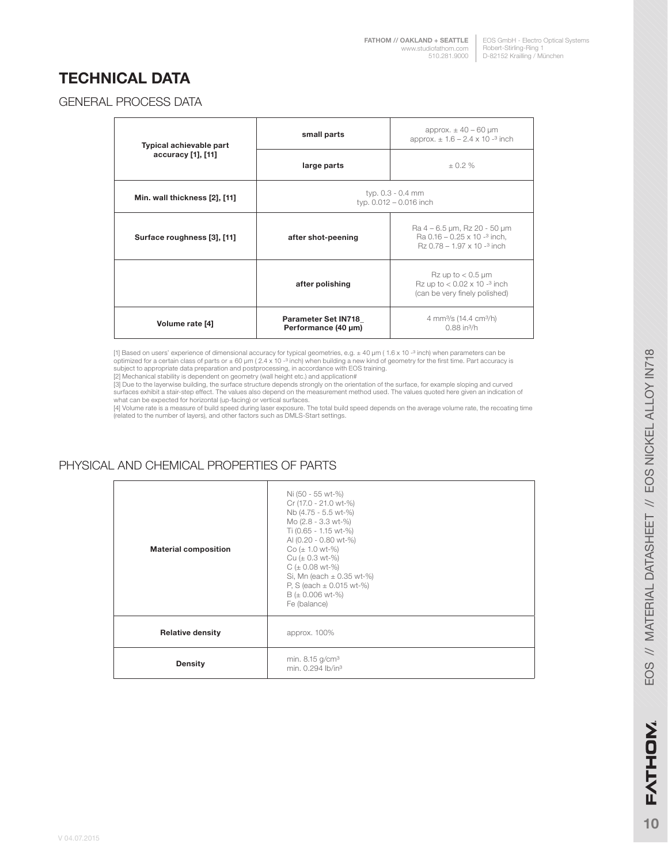## **TECHNICAL DATA**

#### GENERAL PROCESS DATA

| Typical achievable part       | small parts                                       | approx. $\pm$ 40 – 60 µm<br>approx. $\pm 1.6 - 2.4 \times 10^{-3}$ inch                                            |  |
|-------------------------------|---------------------------------------------------|--------------------------------------------------------------------------------------------------------------------|--|
| accuracy [1], [11]            | large parts                                       | ± 0.2 %                                                                                                            |  |
| Min. wall thickness [2], [11] | typ. 0.3 - 0.4 mm<br>typ. 0.012 - 0.016 inch      |                                                                                                                    |  |
| Surface roughness [3], [11]   | after shot-peening                                | Ra 4 – 6.5 µm, Rz 20 - 50 µm<br>Ra $0.16 - 0.25 \times 10^{-3}$ inch.<br>$Rz$ 0.78 – 1.97 x 10 - <sup>3</sup> inch |  |
|                               | after polishing                                   | $Rz$ up to $< 0.5$ µm<br>Rz up to $< 0.02 \times 10^{-3}$ inch<br>(can be very finely polished)                    |  |
| Volume rate [4]               | <b>Parameter Set IN718</b><br>Performance (40 µm) | 4 mm <sup>3</sup> /s (14.4 cm <sup>3</sup> /h)<br>$0.88$ in $\frac{3}{h}$                                          |  |

[1] Based on users' experience of dimensional accuracy for typical geometries, e.g. ± 40 µm ( 1.6 x 10 -ª inch) when parameters can be<br>optimized for a certain class of parts or ± 60 µm ( 2.4 x 10 -ª inch) when building a n

[2] Mechanical stability is dependent on geometry (wall height etc.) and application#

[3] Due to the layerwise building, the surface structure depends strongly on the orientation of the surface, for example sloping and curved<br>surfaces exhibit a stair-step effect. The values also depend on the measurement me

[4] Volume rate is a measure of build speed during laser exposure. The total build speed depends on the average volume rate, the recoating time (related to the number of layers), and other factors such as DMLS-Start settings.

#### PHYSICAL AND CHEMICAL PROPERTIES OF PARTS

| <b>Material composition</b> | Ni (50 - 55 wt-%)<br>Cr (17.0 - 21.0 wt-%)<br>Nb (4.75 - 5.5 wt-%)<br>Mo (2.8 - 3.3 wt-%)<br>Ti (0.65 - 1.15 wt-%)<br>AI (0.20 - 0.80 wt-%)<br>$Co (\pm 1.0 wt-%)$<br>Cu $(\pm 0.3 \text{ wt-}\%)$<br>$C (\pm 0.08 \text{ wt-}%)$<br>Si, Mn (each $\pm$ 0.35 wt-%)<br>P, S (each $\pm$ 0.015 wt-%)<br>$B (\pm 0.006 \text{ wt-}%)$<br>Fe (balance) |
|-----------------------------|----------------------------------------------------------------------------------------------------------------------------------------------------------------------------------------------------------------------------------------------------------------------------------------------------------------------------------------------------|
| <b>Relative density</b>     | approx. 100%                                                                                                                                                                                                                                                                                                                                       |
| <b>Density</b>              | min. 8.15 g/cm <sup>3</sup><br>min. 0.294 lb/in <sup>3</sup>                                                                                                                                                                                                                                                                                       |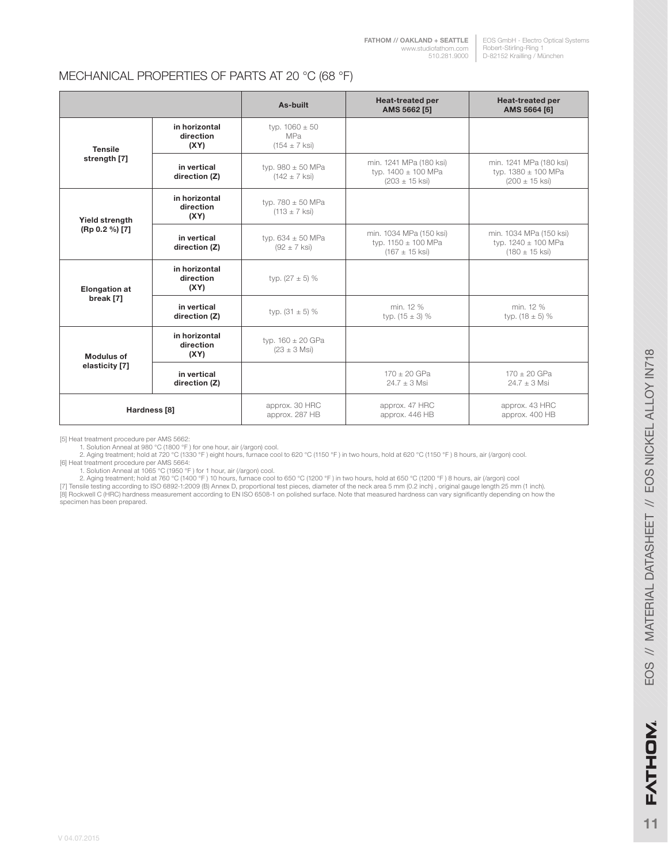#### MECHANICAL PROPERTIES OF PARTS AT 20 °C (68 °F)

|                                   |                                    | As-built                                                     | <b>Heat-treated per</b><br>AMS 5662 [5]                                         | <b>Heat-treated per</b><br>AMS 5664 [6]                                         |
|-----------------------------------|------------------------------------|--------------------------------------------------------------|---------------------------------------------------------------------------------|---------------------------------------------------------------------------------|
| <b>Tensile</b><br>strength [7]    | in horizontal<br>direction<br>(XY) | typ. $1060 \pm 50$<br><b>MPa</b><br>$(154 \pm 7 \text{ ks})$ |                                                                                 |                                                                                 |
|                                   | in vertical<br>direction (Z)       | typ. $980 \pm 50$ MPa<br>$(142 \pm 7 \text{ ks})$            | min. 1241 MPa (180 ksi)<br>typ. 1400 ± 100 MPa<br>$(203 \pm 15 \text{ ksi})$    | min. 1241 MPa (180 ksi)<br>typ. $1380 \pm 100$ MPa<br>$(200 \pm 15$ ksi)        |
| Yield strength                    | in horizontal<br>direction<br>(XY) | typ. $780 \pm 50$ MPa<br>$(113 \pm 7 \text{ ksi})$           |                                                                                 |                                                                                 |
| (Rp 0.2 %) [7]                    | in vertical<br>direction (Z)       | typ. $634 \pm 50$ MPa<br>$(92 \pm 7 \text{ ks})$             | min. 1034 MPa (150 ksi)<br>typ. $1150 \pm 100$ MPa<br>$(167 \pm 15 \text{ ks})$ | min. 1034 MPa (150 ksi)<br>typ. $1240 \pm 100$ MPa<br>$(180 \pm 15 \text{ ks})$ |
| <b>Elongation at</b><br>break [7] | in horizontal<br>direction<br>(XY) | typ. $(27 \pm 5)$ %                                          |                                                                                 |                                                                                 |
|                                   | in vertical<br>direction (Z)       | typ. $(31 \pm 5)$ %                                          | min. 12 %<br>typ. $(15 \pm 3)$ %                                                | min. 12 %<br>typ. $(18 \pm 5)$ %                                                |
| <b>Modulus of</b>                 | in horizontal<br>direction<br>(XY) | typ. $160 \pm 20$ GPa<br>$(23 \pm 3 \text{ Msi})$            |                                                                                 |                                                                                 |
| elasticity [7]                    | in vertical<br>direction (Z)       |                                                              | $170 \pm 20$ GPa<br>$24.7 + 3$ Msi                                              | $170 \pm 20$ GPa<br>$24.7 + 3$ Msi                                              |
| Hardness [8]                      |                                    | approx. 30 HRC<br>approx. 287 HB                             | approx. 47 HRC<br>approx. 446 HB                                                | approx. 43 HRC<br>approx. 400 HB                                                |

[5] Heat treatment procedure per AMS 5662:<br>1. Solution Anneal at 980 °C (1800 °F ) for one hour, air (/argon) cool.<br>2. Aging treatment; hold at 720 °C (1330 °F ) eight hours, furnace cool to 620 °C (1150 °F ) in two hours

[6] Heat treatment procedure per AMS 5664:<br>1. Solution Anneal at 1065 °C (1950 °F ) for 1 hour, air (/argon) cool.<br>2. Aging treatment; hold at 760 °C (1400 °F ) 10 hours, furnace cool to 650 °C (1200 °F ) in two hours, hol

[8] Rockwell C (HRC) hardness measurement according to EN ISO 6508-1 on polished surface. Note that measured hardness can vary significantly depending on how the specimen has been prepared.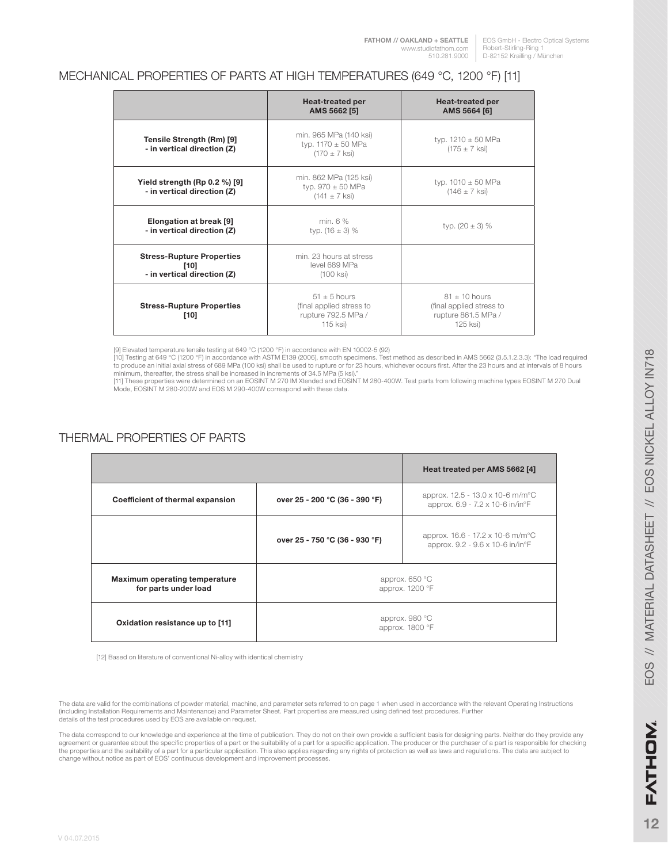#### EOS GmbH - Electro Optical Systems Robert-Stirling-Ring 1 D-82152 Krailling / München

#### MECHANICAL PROPERTIES OF PARTS AT HIGH TEMPERATURES (649 °C, 1200 °F) [11]

|                                                                           | <b>Heat-treated per</b><br>AMS 5662 [5]                                       | <b>Heat-treated per</b><br>AMS 5664 [6]                                        |
|---------------------------------------------------------------------------|-------------------------------------------------------------------------------|--------------------------------------------------------------------------------|
| Tensile Strength (Rm) [9]<br>- in vertical direction (Z)                  | min. 965 MPa (140 ksi)<br>typ. $1170 \pm 50$ MPa<br>$(170 \pm 7 \text{ ks})$  | typ. $1210 \pm 50$ MPa<br>$(175 \pm 7 \text{ ks})$                             |
| Yield strength (Rp $0.2\%$ ) [9]<br>- in vertical direction (Z)           | min. 862 MPa (125 ksi)<br>typ. $970 \pm 50$ MPa<br>$(141 \pm 7 \text{ ks})$   | typ. $1010 \pm 50$ MPa<br>$(146 \pm 7 \text{ ks})$                             |
| Elongation at break [9]<br>- in vertical direction (Z)                    | min. 6 %<br>typ. $(16 \pm 3)$ %                                               | typ. $(20 \pm 3)$ %                                                            |
| <b>Stress-Rupture Properties</b><br>$[10]$<br>- in vertical direction (Z) | min. 23 hours at stress<br>level 689 MPa<br>(100 ksi)                         |                                                                                |
| <b>Stress-Rupture Properties</b><br>[10]                                  | $51 + 5$ hours<br>(final applied stress to<br>rupture 792.5 MPa /<br>115 ksi) | $81 + 10$ hours<br>(final applied stress to<br>rupture 861.5 MPa /<br>125 ksi) |

[9] Elevated temperature tensile testing at 649 °C (1200 °F) in accordance with EN 10002-5 (92)<br>[10] Testing at 649 °C (1200 °F) in accordance with ASTM E139 (2006), smooth specimens. Test method as described in AMS 5662 (

minimum, thereafter, the stress shall be increased in increments of 34.5 MPa (5 ksi)."<br>[11] These properties were determined on an EOSINT M 270 IM Xtended and EOSINT M 280-400W. Test parts from following machine types EOSI Mode, EOSINT M 280-200W and EOS M 290-400W correspond with these data.

### THERMAL PROPERTIES OF PARTS

|                                                              |                                   | Heat treated per AMS 5662 [4]                                                               |
|--------------------------------------------------------------|-----------------------------------|---------------------------------------------------------------------------------------------|
| Coefficient of thermal expansion                             | over 25 - 200 °C (36 - 390 °F)    | approx. $12.5 - 13.0 \times 10^{-6}$ m/m <sup>o</sup> C<br>approx. 6.9 - 7.2 x 10-6 in/in°F |
|                                                              | over 25 - 750 °C (36 - 930 °F)    | approx. 16.6 - 17.2 x 10-6 m/m <sup>o</sup> C<br>approx. 9.2 - 9.6 x 10-6 in/in°F           |
| <b>Maximum operating temperature</b><br>for parts under load | approx. 650 °C<br>approx. 1200 °F |                                                                                             |
| Oxidation resistance up to [11]                              | approx. 980 °C<br>approx. 1800 °F |                                                                                             |

[12] Based on literature of conventional Ni-alloy with identical chemistry

The data are valid for the combinations of powder material, machine, and parameter sets referred to on page 1 when used in accordance with the relevant Operating Instructions<br>(including Installation Requirements and Mainte details of the test procedures used by EOS are available on request.

The data correspond to our knowledge and experience at the time of publication. They do not on their own provide a sufficient basis for designing parts. Neither do they provide any agreement or guarantee about the specific properties of a part or the suitability of a part for a specific application. The producer or the purchaser of a part is responsible for checking the properties and the suitability of a part for a particular application. This also applies regarding any rights of protection as well as laws and regulations. The data are subject to change without notice as part of EOS' continuous development and improvement processes.

V 04.07.2015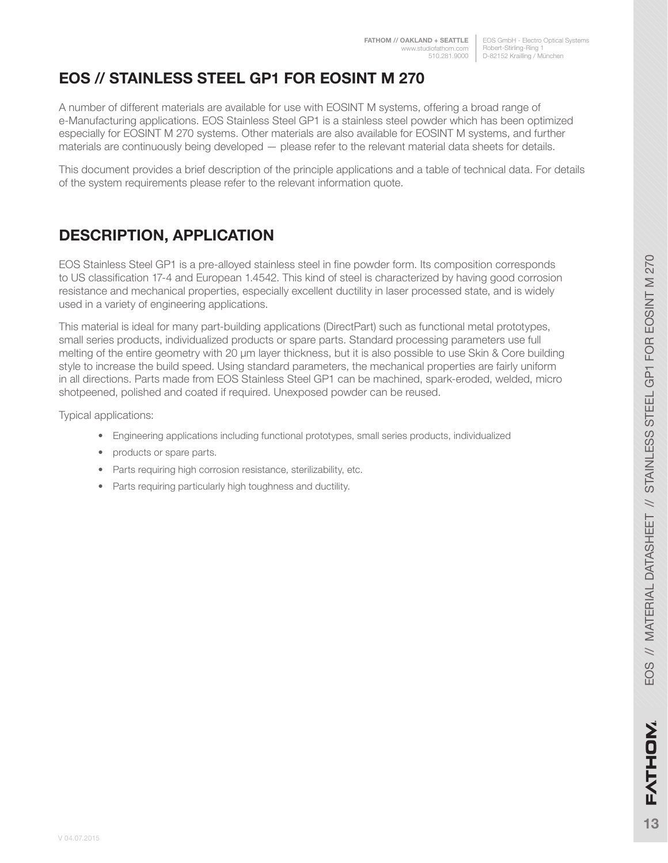# **EOS // STAINLESS STEEL GP1 FOR EOSINT M 270**

A number of different materials are available for use with EOSINT M systems, offering a broad range of e-Manufacturing applications. EOS Stainless Steel GP1 is a stainless steel powder which has been optimized especially for EOSINT M 270 systems. Other materials are also available for EOSINT M systems, and further materials are continuously being developed — please refer to the relevant material data sheets for details.

This document provides a brief description of the principle applications and a table of technical data. For details of the system requirements please refer to the relevant information quote.

# **DESCRIPTION, APPLICATION**

EOS Stainless Steel GP1 is a pre-alloyed stainless steel in fine powder form. Its composition corresponds to US classification 17-4 and European 1.4542. This kind of steel is characterized by having good corrosion resistance and mechanical properties, especially excellent ductility in laser processed state, and is widely used in a variety of engineering applications.

This material is ideal for many part-building applications (DirectPart) such as functional metal prototypes, small series products, individualized products or spare parts. Standard processing parameters use full melting of the entire geometry with 20 μm layer thickness, but it is also possible to use Skin & Core building style to increase the build speed. Using standard parameters, the mechanical properties are fairly uniform in all directions. Parts made from EOS Stainless Steel GP1 can be machined, spark-eroded, welded, micro shotpeened, polished and coated if required. Unexposed powder can be reused.

Typical applications:

- Engineering applications including functional prototypes, small series products, individualized
- products or spare parts.
- Parts requiring high corrosion resistance, sterilizability, etc.
- Parts requiring particularly high toughness and ductility.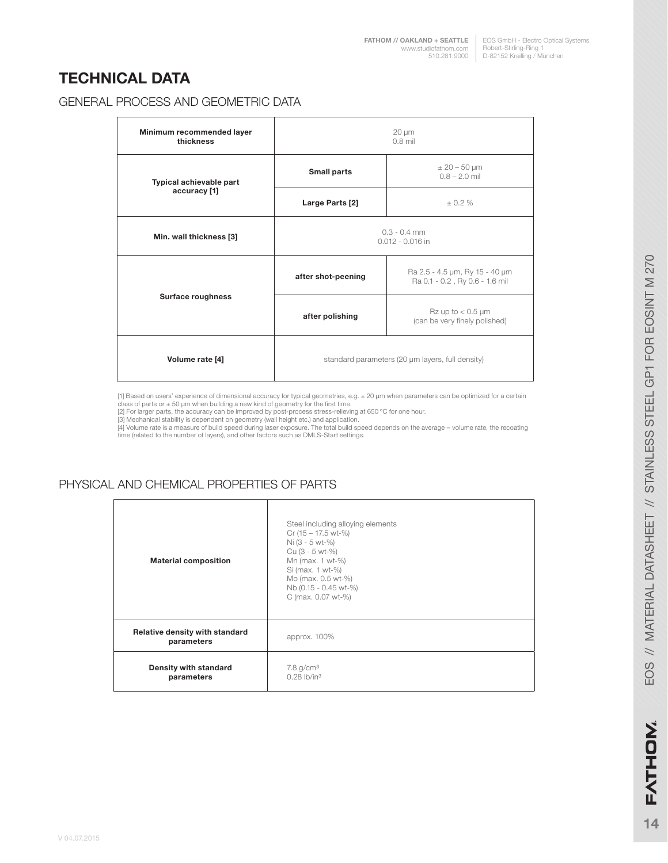# **TECHNICAL DATA**

#### GENERAL PROCESS AND GEOMETRIC DATA

| Minimum recommended layer<br>thickness | $20 \mu m$<br>$0.8$ mil                                                                |                                      |
|----------------------------------------|----------------------------------------------------------------------------------------|--------------------------------------|
| Typical achievable part                | <b>Small parts</b>                                                                     | $± 20 - 50 \mu m$<br>$0.8 - 2.0$ mil |
| accuracy [1]                           | Large Parts [2]                                                                        | $+0.2%$                              |
| Min. wall thickness [3]                | $0.3 - 0.4$ mm<br>$0.012 - 0.016$ in                                                   |                                      |
| Surface roughness                      | Ra 2.5 - 4.5 µm, Ry 15 - 40 µm<br>after shot-peening<br>Ra 0.1 - 0.2, Ry 0.6 - 1.6 mil |                                      |
|                                        | Rz up to $< 0.5$ µm<br>after polishing<br>(can be very finely polished)                |                                      |
| Volume rate [4]                        | standard parameters (20 µm layers, full density)                                       |                                      |

[1] Based on users' experience of dimensional accuracy for typical geometries, e.g. ± 20 µm when parameters can be optimized for a certain<br>class of parts or ± 50 µm when building a new kind of geometry for the first time.<br>

[4] Volume rate is a measure of build speed during laser exposure. The total build speed depends on the average = volume rate, the recoating<br>time (related to the number of layers), and other factors such as DMLS-Start sett

#### PHYSICAL AND CHEMICAL PROPERTIES OF PARTS

| <b>Material composition</b>                  | Steel including alloying elements<br>Cr (15 - 17.5 wt-%)<br>Ni (3 - 5 wt-%)<br>Cu (3 - 5 wt-%)<br>Mn (max. 1 wt-%)<br>Si (max. 1 wt-%)<br>Mo (max. 0.5 wt-%)<br>Nb (0.15 - 0.45 wt-%)<br>C (max. 0.07 wt-%) |
|----------------------------------------------|-------------------------------------------------------------------------------------------------------------------------------------------------------------------------------------------------------------|
| Relative density with standard<br>parameters | approx. 100%                                                                                                                                                                                                |
| Density with standard<br>parameters          | $7.8$ g/cm <sup>3</sup><br>$0.28$ lb/in <sup>3</sup>                                                                                                                                                        |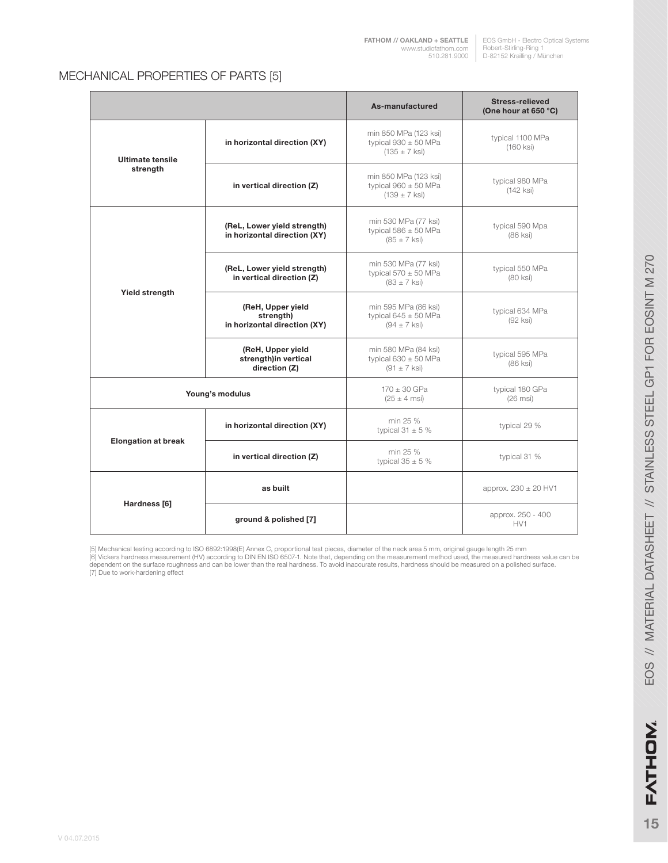#### MECHANICAL PROPERTIES OF PARTS [5]

|                                       |                                                                | As-manufactured                                                               | <b>Stress-relieved</b><br>(One hour at 650 °C) |
|---------------------------------------|----------------------------------------------------------------|-------------------------------------------------------------------------------|------------------------------------------------|
| <b>Ultimate tensile</b>               | in horizontal direction (XY)                                   | min 850 MPa (123 ksi)<br>typical $930 \pm 50$ MPa<br>$(135 \pm 7 \text{ ks})$ | typical 1100 MPa<br>$(160$ ksi $)$             |
| strength                              | in vertical direction (Z)                                      | min 850 MPa (123 ksi)<br>typical $960 \pm 50$ MPa<br>$(139 \pm 7 \text{ ks})$ | typical 980 MPa<br>(142 ksi)                   |
|                                       | (ReL, Lower yield strength)<br>in horizontal direction (XY)    | min 530 MPa (77 ksi)<br>typical $586 \pm 50$ MPa<br>$(85 \pm 7 \text{ ks})$   | typical 590 Mpa<br>$(86$ ksi $)$               |
| Yield strength                        | (ReL, Lower yield strength)<br>in vertical direction (Z)       | min 530 MPa (77 ksi)<br>typical $570 \pm 50$ MPa<br>$(83 \pm 7 \text{ ks})$   | typical 550 MPa<br>(80 ksi)                    |
|                                       | (ReH, Upper yield<br>strength)<br>in horizontal direction (XY) | min 595 MPa (86 ksi)<br>typical $645 \pm 50$ MPa<br>$(94 \pm 7 \text{ ks})$   | typical 634 MPa<br>$(92$ ksi $)$               |
|                                       | (ReH, Upper yield<br>strength)in vertical<br>direction (Z)     | min 580 MPa (84 ksi)<br>typical $630 \pm 50$ MPa<br>$(91 \pm 7 \text{ ks})$   | typical 595 MPa<br>(86 ksi)                    |
|                                       | Young's modulus                                                | $170 \pm 30$ GPa<br>$(25 \pm 4 \text{ ms})$                                   | typical 180 GPa<br>$(26$ msi $)$               |
| <b>Elongation at break</b>            | in horizontal direction (XY)                                   | min 25 %<br>typical 31 $\pm$ 5 %                                              | typical 29 %                                   |
|                                       | in vertical direction (Z)                                      | min 25 %<br>typical $35 \pm 5$ %                                              | typical 31 %                                   |
|                                       | as built                                                       |                                                                               | approx. $230 \pm 20$ HV1                       |
| Hardness [6]<br>ground & polished [7] |                                                                |                                                                               | approx. 250 - 400<br>HV1                       |

[5] Mechanical testing according to ISO 6892:1998(E) Annex C, proportional test pieces, diameter of the neck area 5 mm, original gauge length 25 mm<br>[6] Vickers hardness measurement (HV) according to DIN EN ISO 6507-1. Note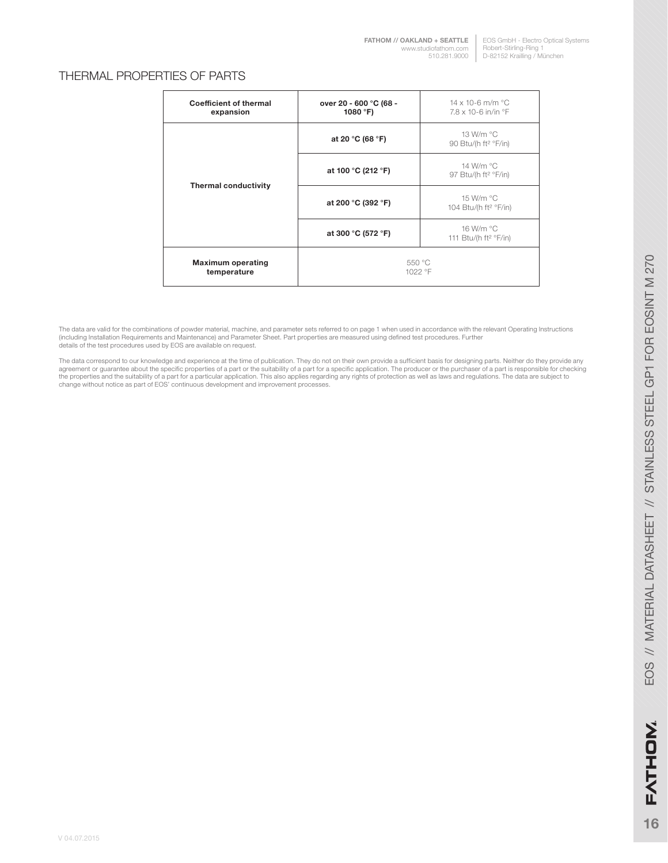#### EOS GmbH - Electro Optical Systems Robert-Stirling-Ring 1 D-82152 Krailling / München

#### THERMAL PROPERTIES OF PARTS

| <b>Coefficient of thermal</b><br>expansion | over 20 - 600 °C (68 -<br>1080 $^{\circ}$ F) | 14 x 10-6 m/m $^{\circ}$ C<br>$7.8 \times 10 - 6$ in/in $\degree$ F |
|--------------------------------------------|----------------------------------------------|---------------------------------------------------------------------|
| <b>Thermal conductivity</b>                | at 20 °C (68 °F)                             | 13 W/m °C<br>90 Btu/(h ft <sup>2</sup> °F/in)                       |
|                                            | at 100 °C (212 °F)                           | 14 W/m °C<br>97 Btu/(h ft <sup>2</sup> °F/in)                       |
|                                            | at 200 °C (392 °F)                           | 15 W/m °C<br>104 Btu/(h ft <sup>2</sup> °F/in)                      |
|                                            | at 300 °C (572 °F)                           | 16 W/m °C<br>111 Btu/(h ft <sup>2</sup> $\degree$ F/in)             |
| <b>Maximum operating</b><br>temperature    | 550 °C<br>1022 °F                            |                                                                     |

The data are valid for the combinations of powder material, machine, and parameter sets referred to on page 1 when used in accordance with the relevant Operating Instructions<br>(including Installation Requirements and Mainte details of the test procedures used by EOS are available on request.

The data correspond to our knowledge and experience at the time of publication. They do not on their own provide a sufficient basis for designing parts. Neither do they provide any<br>agreement or guarantee about the specific change without notice as part of EOS' continuous development and improvement processes.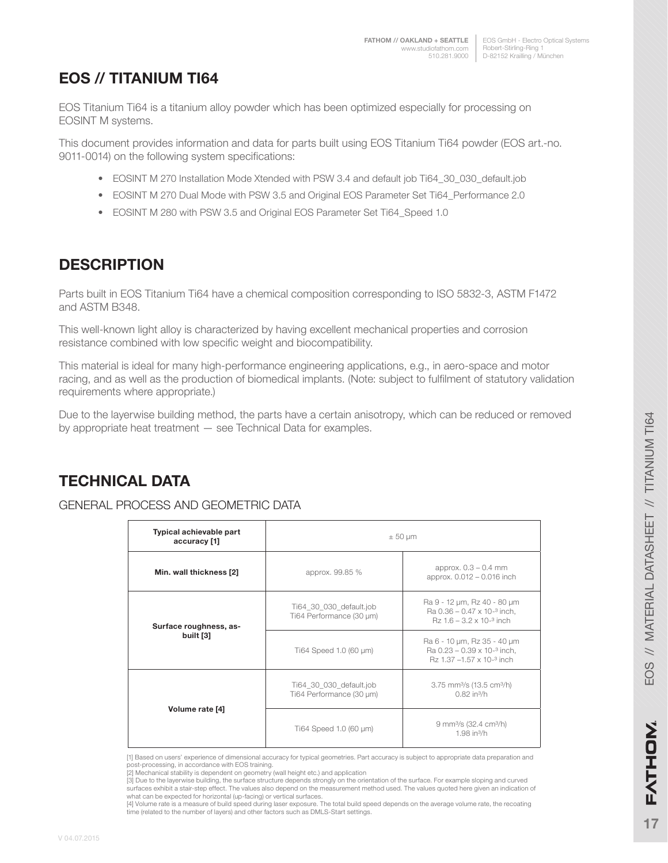EOS GmbH - Electro Optical Systems Robert-Stirling-Ring 1 510.281.9000 | D-82152 Krailling / München

# **EOS // TITANIUM TI64**

EOS Titanium Ti64 is a titanium alloy powder which has been optimized especially for processing on EOSINT M systems.

This document provides information and data for parts built using EOS Titanium Ti64 powder (EOS art.-no. 9011-0014) on the following system specifications:

- EOSINT M 270 Installation Mode Xtended with PSW 3.4 and default job Ti64\_30\_030\_default.job
- EOSINT M 270 Dual Mode with PSW 3.5 and Original EOS Parameter Set Ti64\_Performance 2.0
- EOSINT M 280 with PSW 3.5 and Original EOS Parameter Set Ti64\_Speed 1.0

### **DESCRIPTION**

Parts built in EOS Titanium Ti64 have a chemical composition corresponding to ISO 5832-3, ASTM F1472 and ASTM B348.

This well-known light alloy is characterized by having excellent mechanical properties and corrosion resistance combined with low specific weight and biocompatibility.

This material is ideal for many high-performance engineering applications, e.g., in aero-space and motor racing, and as well as the production of biomedical implants. (Note: subject to fulfilment of statutory validation requirements where appropriate.)

Due to the layerwise building method, the parts have a certain anisotropy, which can be reduced or removed by appropriate heat treatment — see Technical Data for examples.

# **TECHNICAL DATA**

#### GENERAL PROCESS AND GEOMETRIC DATA

| Typical achievable part<br>accuracy [1] | $\pm 50 \mu m$                                                          |                                                                                                                |  |
|-----------------------------------------|-------------------------------------------------------------------------|----------------------------------------------------------------------------------------------------------------|--|
| Min. wall thickness [2]                 | approx. $0.3 - 0.4$ mm<br>approx. 99.85 %<br>approx. 0.012 - 0.016 inch |                                                                                                                |  |
| Surface roughness, as-<br>built [3]     | Ti64_30_030_default.job<br>Ti64 Performance (30 µm)                     | Ra 9 - 12 µm, Rz 40 - 80 µm<br>Ra $0.36 - 0.47 \times 10^{-3}$ inch,<br>$Rz$ 1.6 – 3.2 x 10- <sup>3</sup> inch |  |
|                                         | Ti64 Speed 1.0 (60 µm)                                                  | Ra 6 - 10 µm, Rz 35 - 40 µm<br>Ra $0.23 - 0.39 \times 10^{-3}$ inch,<br>Rz 1.37 -1.57 x 10-3 inch              |  |
| Volume rate [4]                         | Ti64 30 030 default.job<br>Ti64 Performance (30 µm)                     | 3.75 mm <sup>3</sup> /s (13.5 cm <sup>3</sup> /h)<br>$0.82$ in $\frac{3}{h}$                                   |  |
|                                         | Ti64 Speed 1.0 (60 µm)                                                  | 9 mm <sup>3</sup> /s (32.4 cm <sup>3</sup> /h)<br>$1.98$ in $\frac{3}{h}$                                      |  |

[1] Based on users' experience of dimensional accuracy for typical geometries. Part accuracy is subject to appropriate data preparation and post-processing, in accordance with EOS training.

<sup>[2]</sup> Mechanical stability is dependent on geometry (wall height etc.) and application [3] Due to the layerwise building, the surface structure depends strongly on the orientation of the surface. For example sloping and curved surfaces exhibit a stair-step effect. The values also depend on the measurement method used. The values quoted here given an indication of what can be expected for horizontal (up-facing) or vertical surfaces.

<sup>[4]</sup> Volume rate is a measure of build speed during laser exposure. The total build speed depends on the average volume rate, the recoating time (related to the number of layers) and other factors such as DMLS-Start settings.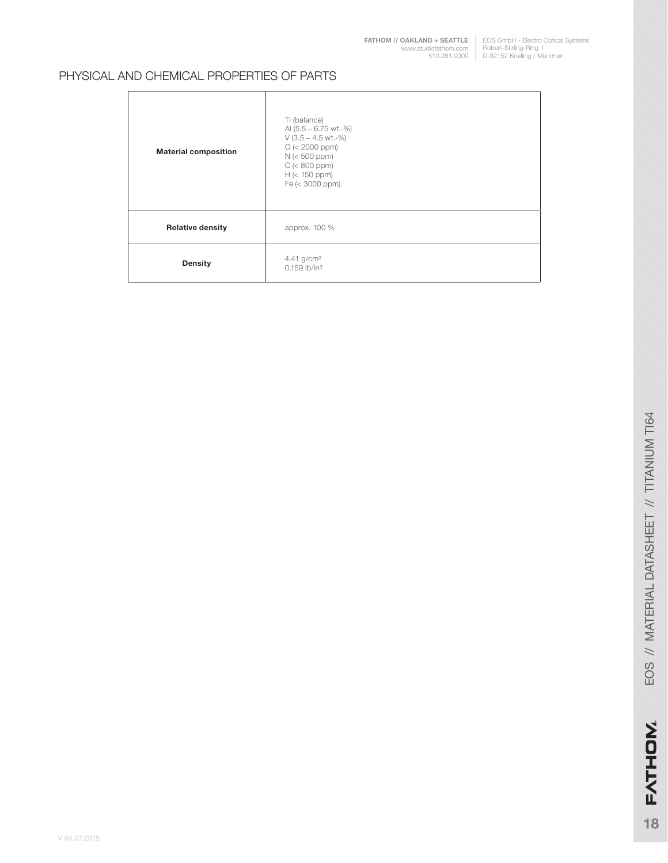**[FATHOM // OAKLAND + SEATTLE](http://studiofathom.com/)** www.studiofathom.com 510.281.9000

EOS GmbH - Electro Optical Systems Robert-Stirling-Ring 1 D-82152 Krailling / München

#### PHYSICAL AND CHEMICAL PROPERTIES OF PARTS

| <b>Material composition</b> | Ti (balance)<br>Al $(5.5 - 6.75 \text{ wt.} -\%)$<br>$V$ (3.5 – 4.5 wt.-%)<br>$O$ (< 2000 ppm)<br>$N \leq 500$ ppm)<br>$C$ (< 800 ppm)<br>$H$ (< 150 ppm)<br>Fe $(< 3000$ ppm $)$ |
|-----------------------------|-----------------------------------------------------------------------------------------------------------------------------------------------------------------------------------|
| <b>Relative density</b>     | approx. 100 %                                                                                                                                                                     |
| <b>Density</b>              | 4.41 $g/cm3$<br>$0.159$ lb/in <sup>3</sup>                                                                                                                                        |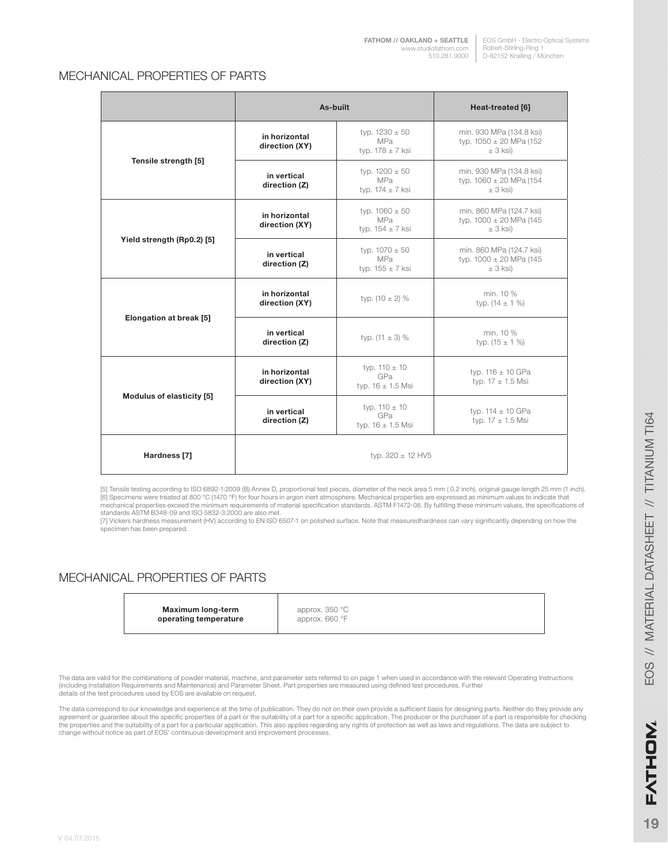#### MECHANICAL PROPERTIES OF PARTS

|                            | As-built                        |                                                               | Heat-treated [6]                                                         |
|----------------------------|---------------------------------|---------------------------------------------------------------|--------------------------------------------------------------------------|
| Tensile strength [5]       | in horizontal<br>direction (XY) | typ. $1230 \pm 50$<br><b>MPa</b><br>typ. $178 \pm 7$ ksi      | min. 930 MPa (134.8 ksi)<br>typ. $1050 \pm 20$ MPa (152)<br>$\pm$ 3 ksi) |
|                            | in vertical<br>direction (Z)    | typ. $1200 \pm 50$<br><b>MPa</b><br>typ. $174 \pm 7$ ksi      | min. 930 MPa (134.8 ksi)<br>typ. 1060 ± 20 MPa (154<br>$\pm$ 3 ksi)      |
| Yield strength (Rp0.2) [5] | in horizontal<br>direction (XY) | typ. $1060 \pm 50$<br>MP <sub>a</sub><br>typ. $154 \pm 7$ ksi | min. 860 MPa (124.7 ksi)<br>typ. 1000 ± 20 MPa (145<br>$\pm$ 3 ksi)      |
|                            | in vertical<br>direction (Z)    | typ. $1070 \pm 50$<br><b>MPa</b><br>typ. $155 \pm 7$ ksi      | min. 860 MPa (124.7 ksi)<br>typ. 1000 ± 20 MPa (145<br>$\pm$ 3 ksi)      |
| Elongation at break [5]    | in horizontal<br>direction (XY) | typ. $(10 \pm 2)$ %                                           | min. 10 %<br>typ. $(14 \pm 1 \%)$                                        |
|                            | in vertical<br>direction (Z)    | typ. $(11 \pm 3)$ %                                           | min. 10 %<br>typ. $(15 \pm 1 \%)$                                        |
| Modulus of elasticity [5]  | in horizontal<br>direction (XY) | typ. $110 \pm 10$<br>GPa<br>typ. $16 \pm 1.5$ Msi             | typ. $116 \pm 10$ GPa<br>typ. $17 \pm 1.5$ Msi                           |
|                            | in vertical<br>direction (Z)    | typ. $110 \pm 10$<br>GPa<br>typ. $16 \pm 1.5$ Msi             | typ. $114 \pm 10$ GPa<br>typ. $17 \pm 1.5$ Msi                           |
| Hardness [7]               |                                 | typ. $320 \pm 12$ HV5                                         |                                                                          |

[5] Tensile testing according to ISO 6892-1:2009 (B) Annex D, proportional test pieces, diameter of the neck area 5 mm ( 0.2 inch), original gauge length 25 mm (1 inch). [6] Specimens were treated at 800 °C (1470 °F) for four hours in argon inert atmosphere. Mechanical properties are expressed as minimum values to indicate that<br>mechanical properties exceed the minimum requirements of mate

[7] Vickers hardness measurement (HV) according to EN ISO 6507-1 on polished surface. Note that measuredhardness can vary significantly depending on how the specimen has been prepared.

#### MECHANICAL PROPERTIES OF PARTS

**Maximum long-term operating temperature**

approx. 350 °C approx. 660 °F

The data are valid for the combinations of powder material, machine, and parameter sets referred to on page 1 when used in accordance with the relevant Operating Instructions (including Installation Requirements and Maintenance) and Parameter Sheet. Part properties are measured using defined test procedures. Further details of the test procedures used by EOS are available on request.

The data correspond to our knowledge and experience at the time of publication. They do not on their own provide a sufficient basis for designing parts. Neither do they provide any<br>agreement or guarantee about the specific the properties and the suitability of a part for a particular application. This also applies regarding any rights of protection as well as laws and regulations. The data are subject to change without notice as part of EOS' continuous development and improvement processes.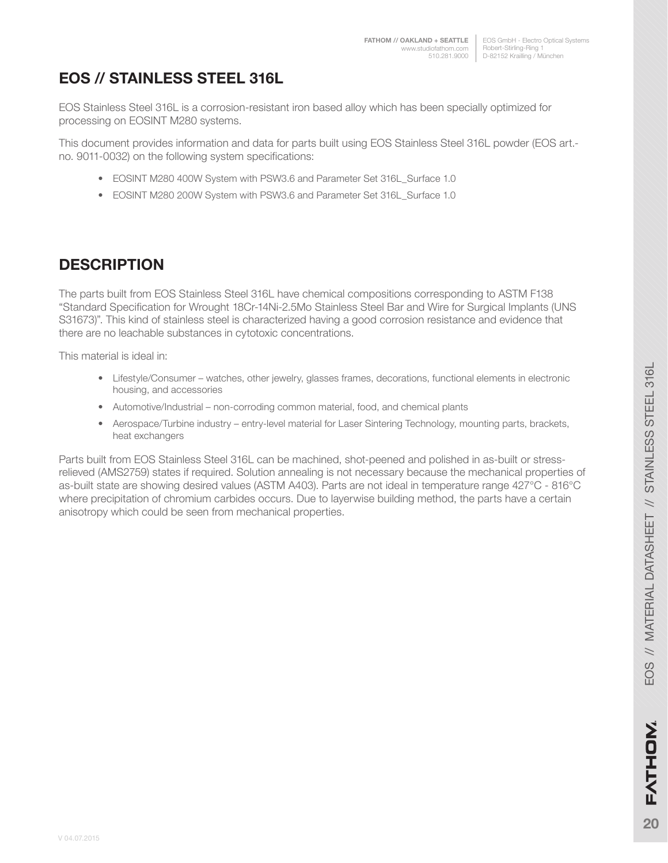# **EOS // STAINLESS STEEL 316L**

EOS Stainless Steel 316L is a corrosion-resistant iron based alloy which has been specially optimized for processing on EOSINT M280 systems.

This document provides information and data for parts built using EOS Stainless Steel 316L powder (EOS art. no. 9011-0032) on the following system specifications:

- EOSINT M280 400W System with PSW3.6 and Parameter Set 316L\_Surface 1.0
- EOSINT M280 200W System with PSW3.6 and Parameter Set 316L\_Surface 1.0

## **DESCRIPTION**

The parts built from EOS Stainless Steel 316L have chemical compositions corresponding to ASTM F138 "Standard Specification for Wrought 18Cr-14Ni-2.5Mo Stainless Steel Bar and Wire for Surgical Implants (UNS S31673)". This kind of stainless steel is characterized having a good corrosion resistance and evidence that there are no leachable substances in cytotoxic concentrations.

This material is ideal in:

- Lifestyle/Consumer watches, other jewelry, glasses frames, decorations, functional elements in electronic housing, and accessories
- Automotive/Industrial non-corroding common material, food, and chemical plants
- Aerospace/Turbine industry entry-level material for Laser Sintering Technology, mounting parts, brackets, heat exchangers

Parts built from EOS Stainless Steel 316L can be machined, shot-peened and polished in as-built or stressrelieved (AMS2759) states if required. Solution annealing is not necessary because the mechanical properties of as-built state are showing desired values (ASTM A403). Parts are not ideal in temperature range 427°C - 816°C where precipitation of chromium carbides occurs. Due to layerwise building method, the parts have a certain anisotropy which could be seen from mechanical properties.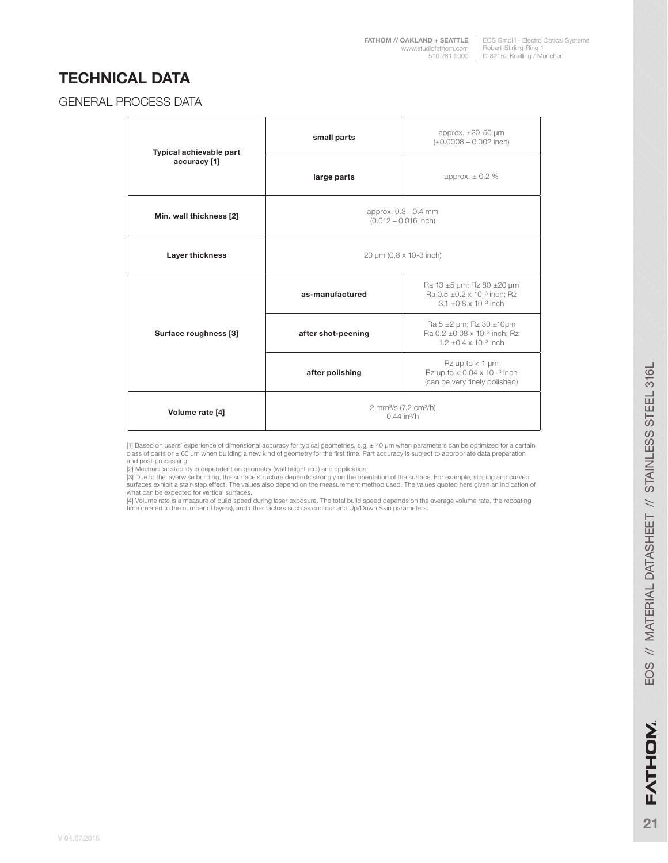## **TECHNICAL DATA**

#### GENERAL PROCESS DATA

| Typical achievable part | approx. $\pm 20 - 50$ µm<br>small parts<br>$(\pm 0.0008 - 0.002$ inch)                                                                  |                                                                                                          |  |
|-------------------------|-----------------------------------------------------------------------------------------------------------------------------------------|----------------------------------------------------------------------------------------------------------|--|
| accuracy [1]            | large parts                                                                                                                             | approx. $\pm$ 0.2 %                                                                                      |  |
| Min. wall thickness [2] | approx. 0.3 - 0.4 mm<br>$(0.012 - 0.016$ inch)                                                                                          |                                                                                                          |  |
| Layer thickness         | 20 µm (0,8 x 10-3 inch)                                                                                                                 |                                                                                                          |  |
| Surface roughness [3]   | as-manufactured                                                                                                                         | Ra 13 ±5 µm; Rz 80 ±20 µm<br>Ra $0.5 \pm 0.2 \times 10^{-3}$ inch; Rz<br>$3.1 + 0.8 \times 10^{-3}$ inch |  |
|                         | Ra 5 $\pm$ 2 µm; Rz 30 $\pm$ 10µm<br>Ra $0.2 \pm 0.08 \times 10^{-3}$ inch; Rz<br>after shot-peening<br>$1.2 + 0.4 \times 10^{-3}$ inch |                                                                                                          |  |
|                         | $Rz$ up to $<$ 1 µm<br>Rz up to $< 0.04 \times 10^{-3}$ inch<br>after polishing<br>(can be very finely polished)                        |                                                                                                          |  |
| Volume rate [4]         | 2 mm <sup>3</sup> /s (7.2 cm <sup>3</sup> /h)<br>$0.44$ in <sup>3</sup> /h                                                              |                                                                                                          |  |

[1] Based on users' experience of dimensional accuracy for typical geometries, e.g. ± 40 µm when parameters can be optimized for a certain<br>class of parts or ± 60 µm when building a new kind of geometry for the first time.

[3] Due to the layerwise building, the surface structure depends strongly on the orientation of the surface. For example, sloping and curved<br>surfaces exhibit a stair-step effect. The values also depend on the measurement m what can be expected for vertical surfaces.

[4] Volume rate is a measure of build speed during laser exposure. The total build speed depends on the average volume rate, the recoating time (related to the number of layers), and other factors such as contour and Up/Down Skin parameters.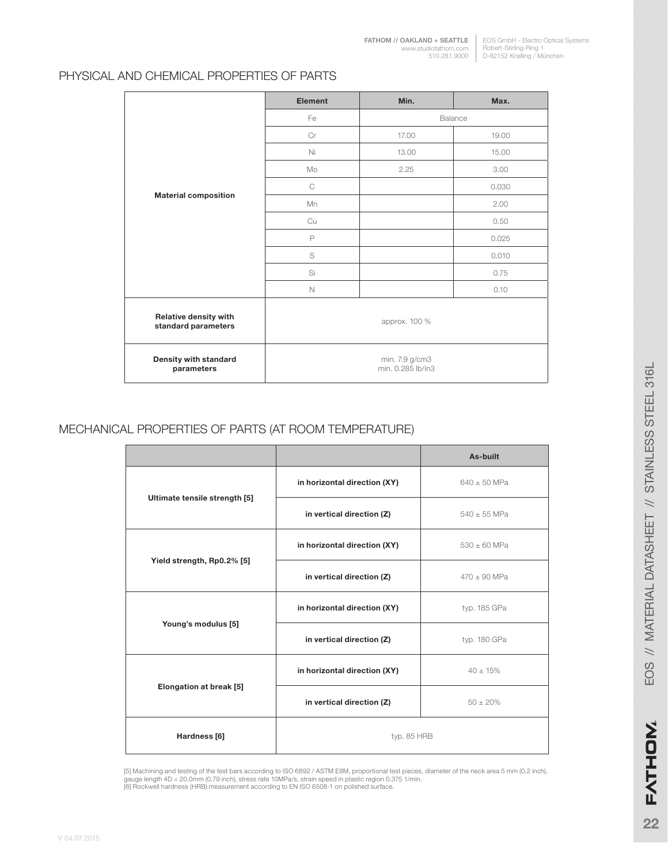#### PHYSICAL AND CHEMICAL PROPERTIES OF PARTS

|                                                     | Element                             | Min.          | Max.  |
|-----------------------------------------------------|-------------------------------------|---------------|-------|
|                                                     | Fe                                  | Balance       |       |
|                                                     | Cr                                  | 17.00         | 19.00 |
|                                                     | Ni                                  | 13.00         | 15.00 |
|                                                     | Mo                                  | 2.25          | 3.00  |
|                                                     | $\mathsf{C}$                        |               | 0.030 |
| <b>Material composition</b>                         | Mn                                  |               | 2.00  |
|                                                     | Cu                                  |               | 0.50  |
|                                                     | P                                   |               | 0.025 |
|                                                     | S                                   |               | 0.010 |
|                                                     | Si                                  |               | 0.75  |
|                                                     | $\mathbb N$                         |               | 0.10  |
| <b>Relative density with</b><br>standard parameters |                                     | approx. 100 % |       |
| Density with standard<br>parameters                 | min. 7.9 g/cm3<br>min. 0.285 lb/in3 |               |       |

#### MECHANICAL PROPERTIES OF PARTS (AT ROOM TEMPERATURE)

|                               |                              | As-built         |
|-------------------------------|------------------------------|------------------|
|                               | in horizontal direction (XY) | $640 \pm 50$ MPa |
| Ultimate tensile strength [5] | in vertical direction (Z)    | $540 \pm 55$ MPa |
|                               | in horizontal direction (XY) | $530 \pm 60$ MPa |
| Yield strength, Rp0.2% [5]    | in vertical direction (Z)    | $470 \pm 90$ MPa |
| Young's modulus [5]           | in horizontal direction (XY) | typ. 185 GPa     |
|                               | in vertical direction (Z)    | typ. 180 GPa     |
| Elongation at break [5]       | in horizontal direction (XY) | $40 \pm 15\%$    |
|                               | in vertical direction (Z)    | $50 \pm 20\%$    |
| Hardness [6]                  | typ. 85 HRB                  |                  |

[5] Machining and testing of the test bars according to ISO 6892 / ASTM E8M, proportional test pieces, diameter of the neck area 5 mm (0.2 inch),<br>gauge length 4D = 20.0mm (0.79 inch), stress rate 10MPa/s, strain speed in p

**22**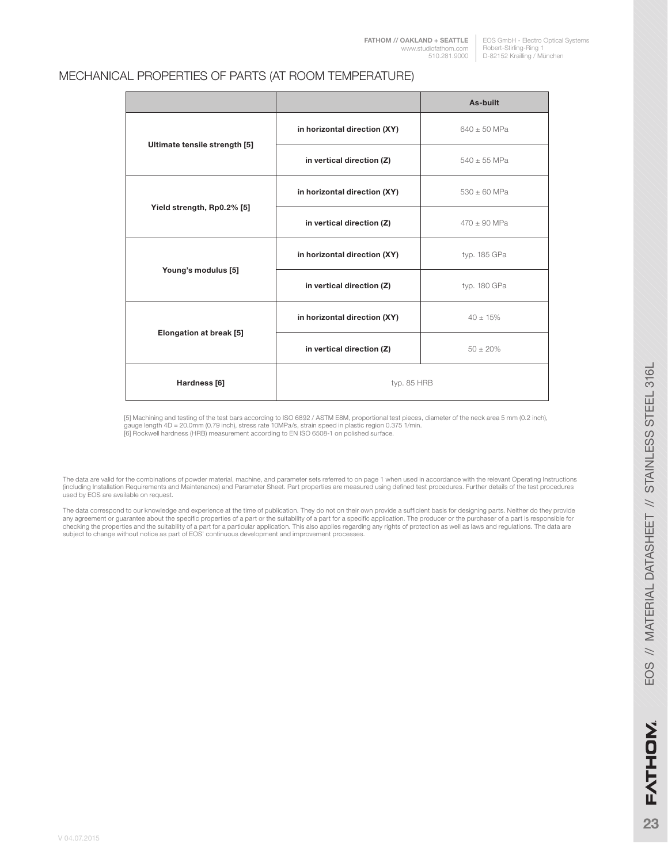#### MECHANICAL PROPERTIES OF PARTS (AT ROOM TEMPERATURE)

|                               |                              | As-built         |
|-------------------------------|------------------------------|------------------|
|                               | in horizontal direction (XY) | $640 \pm 50$ MPa |
| Ultimate tensile strength [5] | in vertical direction (Z)    | $540 \pm 55$ MPa |
|                               | in horizontal direction (XY) | $530 + 60$ MPa   |
| Yield strength, Rp0.2% [5]    | in vertical direction (Z)    | $470 + 90$ MPa   |
| Young's modulus [5]           | in horizontal direction (XY) | typ. 185 GPa     |
|                               | in vertical direction (Z)    | typ. 180 GPa     |
| Elongation at break [5]       | in horizontal direction (XY) | $40 \pm 15\%$    |
|                               | in vertical direction (Z)    | $50 \pm 20\%$    |
| Hardness [6]                  | typ. 85 HRB                  |                  |

[5] Machining and testing of the test bars according to ISO 6892 / ASTM E8M, proportional test pieces, diameter of the neck area 5 mm (0.2 inch), gauge length 4D = 20.0mm (0.79 inch), stress rate 10MPa/s, strain speed in plastic region 0.375 1/min.<br>[6] Rockwell hardness (HRB) measurement according to EN ISO 6508-1 on polished surface.

The data are valid for the combinations of powder material, machine, and parameter sets referred to on page 1 when used in accordance with the relevant Operating Instructions<br>(including Installation Requirements and Mainte used by EOS are available on request.

The data correspond to our knowledge and experience at the time of publication. They do not on their own provide a sufficient basis for designing parts. Neither do they provide<br>any agreement or guarantee about the specific checking the properties and the suitability of a part for a particular application. This also applies regarding any rights of protection as well as laws and regulations. The data are subject to change without notice as part of EOS' continuous development and improvement processes.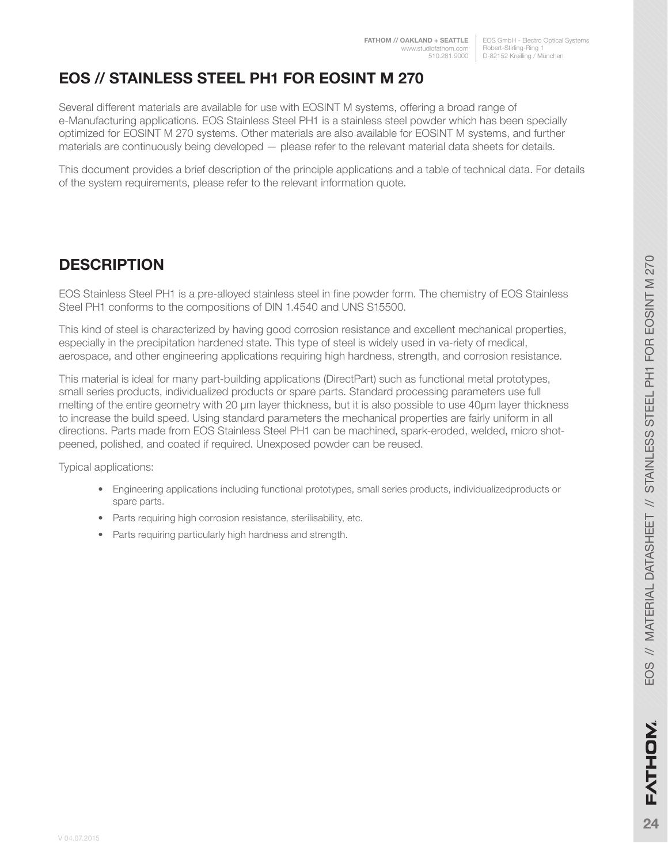EOS GmbH - Electro Optical Systems Robert-Stirling-Ring 1 D-82152 Krailling / München

# **EOS // STAINLESS STEEL PH1 FOR EOSINT M 270**

Several different materials are available for use with EOSINT M systems, offering a broad range of e-Manufacturing applications. EOS Stainless Steel PH1 is a stainless steel powder which has been specially optimized for EOSINT M 270 systems. Other materials are also available for EOSINT M systems, and further materials are continuously being developed — please refer to the relevant material data sheets for details.

This document provides a brief description of the principle applications and a table of technical data. For details of the system requirements, please refer to the relevant information quote.

## **DESCRIPTION**

EOS Stainless Steel PH1 is a pre-alloyed stainless steel in fine powder form. The chemistry of EOS Stainless Steel PH1 conforms to the compositions of DIN 1.4540 and UNS S15500.

This kind of steel is characterized by having good corrosion resistance and excellent mechanical properties, especially in the precipitation hardened state. This type of steel is widely used in va-riety of medical, aerospace, and other engineering applications requiring high hardness, strength, and corrosion resistance.

This material is ideal for many part-building applications (DirectPart) such as functional metal prototypes, small series products, individualized products or spare parts. Standard processing parameters use full melting of the entire geometry with 20 μm layer thickness, but it is also possible to use 40μm layer thickness to increase the build speed. Using standard parameters the mechanical properties are fairly uniform in all directions. Parts made from EOS Stainless Steel PH1 can be machined, spark-eroded, welded, micro shotpeened, polished, and coated if required. Unexposed powder can be reused.

Typical applications:

- Engineering applications including functional prototypes, small series products, individualizedproducts or spare parts.
- Parts requiring high corrosion resistance, sterilisability, etc.
- Parts requiring particularly high hardness and strength.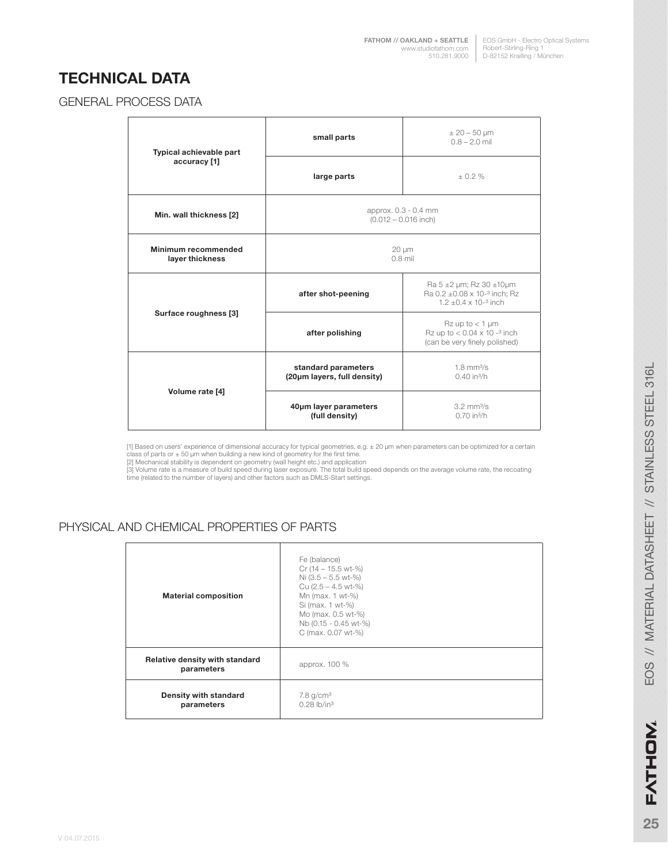EOS GmbH - Electro Optical Systems Robert-Stirling-Ring 1 D-82152 Krailling / München **[FATHOM // OAKLAND + SEATTLE](http://studiofathom.com/)** www.studiofathom.com 510.281.9000

### **TECHNICAL DATA**

#### GENERAL PROCESS DATA

| Typical achievable part<br>accuracy [1] | small parts                                        | $± 20 - 50 \mu m$<br>$0.8 - 2.0$ mil                                                                              |  |
|-----------------------------------------|----------------------------------------------------|-------------------------------------------------------------------------------------------------------------------|--|
|                                         | large parts                                        | $+0.2%$                                                                                                           |  |
| Min. wall thickness [2]                 | approx. 0.3 - 0.4 mm<br>$(0.012 - 0.016$ inch)     |                                                                                                                   |  |
| Minimum recommended<br>layer thickness  | $20 \mu m$<br>$0.8$ mil                            |                                                                                                                   |  |
| Surface roughness [3]                   | after shot-peening                                 | Ra 5 $\pm$ 2 µm; Rz 30 $\pm$ 10µm<br>Ra $0.2 \pm 0.08 \times 10^{-3}$ inch; Rz<br>$1.2 + 0.4 \times 10^{-3}$ inch |  |
|                                         | after polishing                                    | $Rz$ up to $<$ 1 µm<br>Rz up to $< 0.04 \times 10^{-3}$ inch<br>(can be very finely polished)                     |  |
| Volume rate [4]                         | standard parameters<br>(20µm layers, full density) | $1.8$ mm $\frac{3}{s}$<br>$0.40$ in <sup>3</sup> /h                                                               |  |
|                                         | 40um layer parameters<br>(full density)            | $3.2$ mm $\frac{3}{s}$<br>$0.70$ in <sup>3</sup> /h                                                               |  |

[1] Based on users' experience of dimensional accuracy for typical geometries, e.g. ± 20 µm when parameters can be optimized for a certain

class of parts or ± 50 µm when building a new kind of geometry for the first time.<br>[2] Mechanical stability is dependent on geometry (wall height etc.) and application<br>[3] Volume rate is a measure of build speed during las

#### PHYSICAL AND CHEMICAL PROPERTIES OF PARTS

| <b>Material composition</b>                  | Fe (balance)<br>$Cr(14 - 15.5 wt-%)$<br>Ni $(3.5 - 5.5 \text{ wt-}\%)$<br>Cu $(2.5 - 4.5 \text{ wt-}\%)$<br>Mn (max. 1 wt-%)<br>Si (max. 1 wt-%)<br>Mo (max. 0.5 wt-%)<br>Nb (0.15 - 0.45 wt-%)<br>C (max. 0.07 wt-%) |
|----------------------------------------------|-----------------------------------------------------------------------------------------------------------------------------------------------------------------------------------------------------------------------|
| Relative density with standard<br>parameters | approx. 100 %                                                                                                                                                                                                         |
| Density with standard<br>parameters          | $7.8$ g/cm <sup>3</sup><br>$0.28$ lb/in <sup>3</sup>                                                                                                                                                                  |